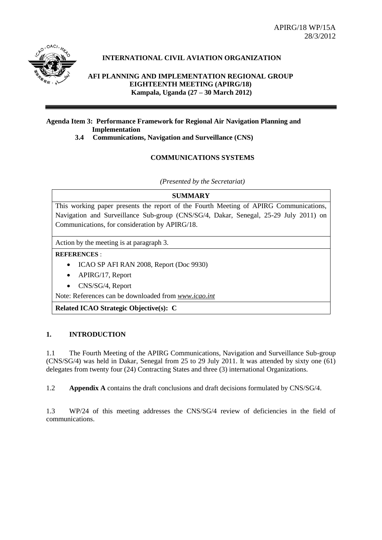APIRG/18 WP/15A 28/3/2012



## **INTERNATIONAL CIVIL AVIATION ORGANIZATION**

**AFI PLANNING AND IMPLEMENTATION REGIONAL GROUP EIGHTEENTH MEETING (APIRG/18) Kampala, Uganda (27 – 30 March 2012)**

## **Agenda Item 3: Performance Framework for Regional Air Navigation Planning and Implementation**

**3.4 Communications, Navigation and Surveillance (CNS)**

## **COMMUNICATIONS SYSTEMS**

*(Presented by the Secretariat)*

#### **SUMMARY**

This working paper presents the report of the Fourth Meeting of APIRG Communications, Navigation and Surveillance Sub-group (CNS/SG/4, Dakar, Senegal, 25-29 July 2011) on Communications, for consideration by APIRG/18.

Action by the meeting is at paragraph 3.

#### **REFERENCES** :

- ICAO SP AFI RAN 2008, Report (Doc 9930)
- APIRG/17, Report
- CNS/SG/4, Report

Note: References can be downloaded from *[www.icao.int](http://www.icao.int/)*

**Related ICAO Strategic Objective(s): C**

## **1. INTRODUCTION**

1.1 The Fourth Meeting of the APIRG Communications, Navigation and Surveillance Sub-group (CNS/SG/4) was held in Dakar, Senegal from 25 to 29 July 2011. It was attended by sixty one (61) delegates from twenty four (24) Contracting States and three (3) international Organizations.

1.2 **Appendix A** contains the draft conclusions and draft decisions formulated by CNS/SG/4.

1.3 WP/24 of this meeting addresses the CNS/SG/4 review of deficiencies in the field of communications.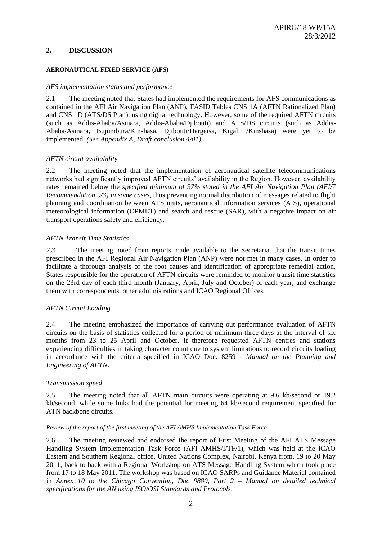#### **2. DISCUSSION**

#### **AERONAUTICAL FIXED SERVICE (AFS)**

#### *AFS implementation status and performance*

2.1 The meeting noted that States had implemented the requirements for AFS communications as contained in the AFI Air Navigation Plan (ANP), FASID Tables CNS 1A (AFTN Rationalized Plan) and CNS 1D (ATS/DS Plan), using digital technology. However, some of the required AFTN circuits (such as Addis-Ababa/Asmara, Addis-Ababa/Djibouti) and ATS/DS circuits (such as Addis-Ababa/Asmara, Bujumbura/Kinshasa, Djibouti/Hargeisa, Kigali /Kinshasa) were yet to be implemented. *(See Appendix A, Draft conclusion 4/01).*

#### *AFTN circuit availability*

2.2 The meeting noted that the implementation of aeronautical satellite telecommunications networks had significantly improved AFTN circuits' availability in the Region. However, availability rates remained below the *specified minimum of 97% stated in the AFI Air Navigation Plan (AFI/7 Recommendation 9/3) in some cases*, thus preventing normal distribution of messages related to flight planning and coordination between ATS units, aeronautical information services (AIS), operational meteorological information (OPMET) and search and rescue (SAR), with a negative impact on air transport operations safety and efficiency.

#### *AFTN Transit Time Statistics*

*2.3* The meeting noted from reports made available to the Secretariat that the transit times prescribed in the AFI Regional Air Navigation Plan (ANP) were not met in many cases. In order to facilitate a thorough analysis of the root causes and identification of appropriate remedial action, States responsible for the operation of AFTN circuits were reminded to monitor transit time statistics on the 23rd day of each third month (January, April, July and October) of each year, and exchange them with correspondents, other administrations and ICAO Regional Offices.

## *AFTN Circuit Loading*

2.4 The meeting emphasized the importance of carrying out performance evaluation of AFTN circuits on the basis of statistics collected for a period of minimum three days at the interval of six months from 23 to 25 April and October. It therefore requested AFTN centres and stations experiencing difficulties in taking character count due to system limitations to record circuits loading in accordance with the criteria specified in ICAO Doc. 8259 *- Manual on the Planning and Engineering of AFTN*.

#### *Transmission speed*

2.5 The meeting noted that all AFTN main circuits were operating at 9.6 kb/second or 19.2 kb/second, while some links had the potential for meeting 64 kb/second requirement specified for ATN backbone circuits.

#### *Review of the report of the first meeting of the AFI AMHS Implementation Task Force*

2.6 The meeting reviewed and endorsed the report of First Meeting of the AFI ATS Message Handling System Implementation Task Force (AFI AMHS/I/TF/1), which was held at the ICAO Eastern and Southern Regional office, United Nations Complex, Nairobi, Kenya from, 19 to 20 May 2011, back to back with a Regional Workshop on ATS Message Handling System which took place from 17 to 18 May 2011. The workshop was based on ICAO SARPs and Guidance Material contained in *Annex 10 to the Chicago Convention, Doc 9880, Part 2 – Manual on detailed technical specifications for the AN using ISO/OSI Standards and Protocols*.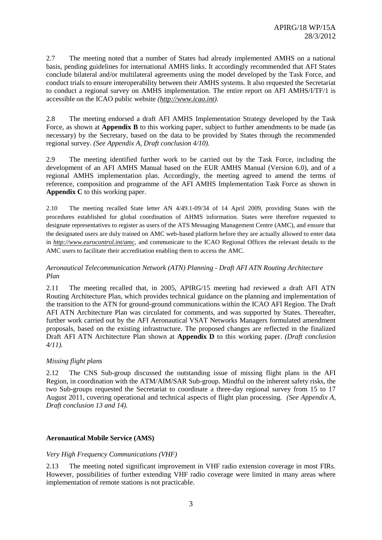2.7 The meeting noted that a number of States had already implemented AMHS on a national basis, pending guidelines for international AMHS links. It accordingly recommended that AFI States conclude bilateral and/or multilateral agreements using the model developed by the Task Force, and conduct trials to ensure interoperability between their AMHS systems. It also requested the Secretariat to conduct a regional survey on AMHS implementation. The entire report on AFI AMHS/I/TF/1 is accessible on the ICAO public website *[\(http://www.icao.int\)](http://www.icao.int/)*.

2.8 The meeting endorsed a draft AFI AMHS Implementation Strategy developed by the Task Force, as shown at **Appendix B** to this working paper, subject to further amendments to be made (as necessary) by the Secretary, based on the data to be provided by States through the recommended regional survey. *(See Appendix A, Draft conclusion 4/10).*

2.9 The meeting identified further work to be carried out by the Task Force, including the development of an AFI AMHS Manual based on the EUR AMHS Manual (Version 6.0), and of a regional AMHS implementation plan. Accordingly, the meeting agreed to amend the terms of reference, composition and programme of the AFI AMHS Implementation Task Force as shown in **Appendix C** to this working paper.

2.10 The meeting recalled State letter AN 4/49.1-09/34 of 14 April 2009, providing States with the procedures established for global coordination of AHMS information. States were therefore requested to designate representatives to register as users of the ATS Messaging Management Centre (AMC), and ensure that the designated users are duly trained on AMC web-based platform before they are actually allowed to enter data in *<http://www.eurocontrol.int/amc>*, and communicate to the ICAO Regional Offices the relevant details to the AMC users to facilitate their accreditation enabling them to access the AMC.

## *Aeronautical Telecommunication Network (ATN) Planning - Draft AFI ATN Routing Architecture Plan*

2.11 The meeting recalled that, in 2005, APIRG/15 meeting had reviewed a draft AFI ATN Routing Architecture Plan, which provides technical guidance on the planning and implementation of the transition to the ATN for ground-ground communications within the ICAO AFI Region. The Draft AFI ATN Architecture Plan was circulated for comments, and was supported by States. Thereafter, further work carried out by the AFI Aeronautical VSAT Networks Managers formulated amendment proposals, based on the existing infrastructure. The proposed changes are reflected in the finalized Draft AFI ATN Architecture Plan shown at **Appendix D** to this working paper. *(Draft conclusion 4/11).*

## *Missing flight plans*

2.12 The CNS Sub-group discussed the outstanding issue of missing flight plans in the AFI Region, in coordination with the ATM/AIM/SAR Sub-group. Mindful on the inherent safety risks, the two Sub-groups requested the Secretariat to coordinate a three-day regional survey from 15 to 17 August 2011, covering operational and technical aspects of flight plan processing. *(See Appendix A, Draft conclusion 13 and 14).*

## **Aeronautical Mobile Service (AMS)**

## *Very High Frequency Communications (VHF)*

2.13 The meeting noted significant improvement in VHF radio extension coverage in most FIRs. However, possibilities of further extending VHF radio coverage were limited in many areas where implementation of remote stations is not practicable.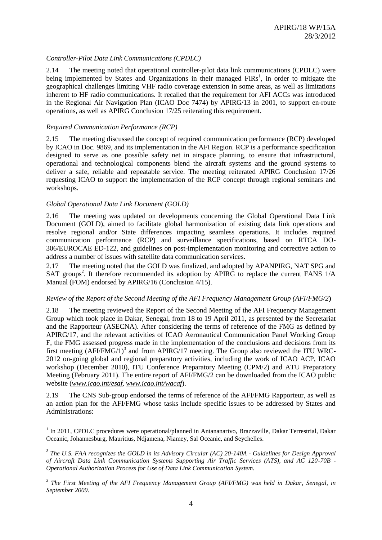## *Controller-Pilot Data Link Communications (CPDLC)*

2.14 The meeting noted that operational controller-pilot data link communications (CPDLC) were being implemented by States and Organizations in their managed  $FIRs<sup>1</sup>$ , in order to mitigate the geographical challenges limiting VHF radio coverage extension in some areas, as well as limitations inherent to HF radio communications. It recalled that the requirement for AFI ACCs was introduced in the Regional Air Navigation Plan (ICAO Doc 7474) by APIRG/13 in 2001, to support en-route operations, as well as APIRG Conclusion 17/25 reiterating this requirement.

#### *Required Communication Performance (RCP)*

2.15 The meeting discussed the concept of required communication performance (RCP) developed by ICAO in Doc. 9869, and its implementation in the AFI Region. RCP is a performance specification designed to serve as one possible safety net in airspace planning, to ensure that infrastructural, operational and technological components blend the aircraft systems and the ground systems to deliver a safe, reliable and repeatable service. The meeting reiterated APIRG Conclusion 17/26 requesting ICAO to support the implementation of the RCP concept through regional seminars and workshops.

#### *Global Operational Data Link Document (GOLD)*

1

2.16 The meeting was updated on developments concerning the Global Operational Data Link Document (GOLD), aimed to facilitate global harmonization of existing data link operations and resolve regional and/or State differences impacting seamless operations. It includes required communication performance (RCP) and surveillance specifications, based on RTCA DO-306/EUROCAE ED-122, and guidelines on post-implementation monitoring and corrective action to address a number of issues with satellite data communication services.

2.17 The meeting noted that the GOLD was finalized, and adopted by APANPIRG, NAT SPG and SAT groups<sup>2</sup>. It therefore recommended its adoption by APIRG to replace the current FANS 1/A Manual (FOM) endorsed by APIRG/16 (Conclusion 4/15).

#### *Review of the Report of the Second Meeting of the AFI Frequency Management Group (AFI/FMG/2***)**

2.18 The meeting reviewed the Report of the Second Meeting of the AFI Frequency Management Group which took place in Dakar, Senegal, from 18 to 19 April 2011, as presented by the Secretariat and the Rapporteur (ASECNA). After considering the terms of reference of the FMG as defined by APIRG/17, and the relevant activities of ICAO Aeronautical Communication Panel Working Group F, the FMG assessed progress made in the implementation of the conclusions and decisions from its first meeting  $(AFI/FMG/1)^3$  and from  $APIRG/17$  meeting. The Group also reviewed the ITU WRC-2012 on-going global and regional preparatory activities, including the work of ICAO ACP, ICAO workshop (December 2010), ITU Conference Preparatory Meeting (CPM/2) and ATU Preparatory Meeting (February 2011). The entire report of AFI/FMG/2 can be downloaded from the ICAO public website (*[www.icao.int/esaf,](http://www.icao.int/esaf) [www.icao.int/wacaf](http://www.icao.int/wacaf)*).

2.19 The CNS Sub-group endorsed the terms of reference of the AFI/FMG Rapporteur, as well as an action plan for the AFI/FMG whose tasks include specific issues to be addressed by States and Administrations:

<sup>&</sup>lt;sup>1</sup> In 2011, CPDLC procedures were operational/planned in Antananarivo, Brazzaville, Dakar Terrestrial, Dakar Oceanic, Johannesburg, Mauritius, Ndjamena, Niamey, Sal Oceanic, and Seychelles.

*<sup>2</sup> The U.S. FAA recognizes the GOLD in its Advisory Circular (AC) 20-140A - Guidelines for Design Approval of Aircraft Data Link Communication Systems Supporting Air Traffic Services (ATS), and AC 120-70B - Operational Authorization Process for Use of Data Link Communication System.*

<sup>&</sup>lt;sup>3</sup> The First Meeting of the AFI Frequency Management Group (AFI/FMG) was held in Dakar, Senegal, in *September 2009.*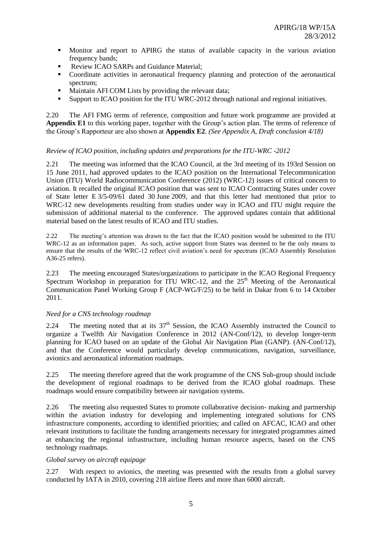- Monitor and report to APIRG the status of available capacity in the various aviation frequency bands;
- Review ICAO SARPs and Guidance Material;
- Coordinate activities in aeronautical frequency planning and protection of the aeronautical spectrum;
- **Maintain AFI COM Lists by providing the relevant data;**
- Support to ICAO position for the ITU WRC-2012 through national and regional initiatives.

2.20 The AFI FMG terms of reference, composition and future work programme are provided at **Appendix E1** to this working paper, together with the Group's action plan. The terms of reference of the Group's Rapporteur are also shown at **Appendix E2**. *(See Appendix A, Draft conclusion 4/18)*

## *Review of ICAO position, including updates and preparations for the ITU-WRC -2012*

2.21 The meeting was informed that the ICAO Council, at the 3rd meeting of its 193rd Session on 15 June 2011, had approved updates to the ICAO position on the International Telecommunication Union (ITU) World Radiocommunication Conference (2012) (WRC-12) issues of critical concern to aviation. It recalled the original ICAO position that was sent to ICAO Contracting States under cover of State letter E 3/5-09/61 dated 30 June 2009, and that this letter had mentioned that prior to WRC-12 new developments resulting from studies under way in ICAO and ITU might require the submission of additional material to the conference. The approved updates contain that additional material based on the latest results of ICAO and ITU studies.

2.22 The meeting's attention was drawn to the fact that the ICAO position would be submitted to the ITU WRC-12 as an information paper. As such, active support from States was deemed to be the only means to ensure that the results of the WRC-12 reflect civil aviation's need for spectrum (ICAO Assembly Resolution A36-25 refers).

2.23 The meeting encouraged States/organizations to participate in the ICAO Regional Frequency Spectrum Workshop in preparation for ITU WRC-12, and the  $25<sup>th</sup>$  Meeting of the Aeronautical Communication Panel Working Group F (ACP-WG/F/25) to be held in Dakar from 6 to 14 October 2011.

#### *Need for a CNS technology roadmap*

2.24 The meeting noted that at its  $37<sup>th</sup>$  Session, the ICAO Assembly instructed the Council to organize a Twelfth Air Navigation Conference in 2012 (AN-Conf/12), to develop longer-term planning for ICAO based on an update of the Global Air Navigation Plan (GANP). (AN-Conf/12), and that the Conference would particularly develop communications, navigation, surveillance, avionics and aeronautical information roadmaps.

2.25 The meeting therefore agreed that the work programme of the CNS Sub-group should include the development of regional roadmaps to be derived from the ICAO global roadmaps. These roadmaps would ensure compatibility between air navigation systems.

2.26 The meeting also requested States to promote collaborative decision- making and partnership within the aviation industry for developing and implementing integrated solutions for CNS infrastructure components, according to identified priorities; and called on AFCAC, ICAO and other relevant institutions to facilitate the funding arrangements necessary for integrated programmes aimed at enhancing the regional infrastructure, including human resource aspects, based on the CNS technology roadmaps.

#### *Global survey on aircraft equipage*

2.27 With respect to avionics, the meeting was presented with the results from a global survey conducted by IATA in 2010, covering 218 airline fleets and more than 6000 aircraft.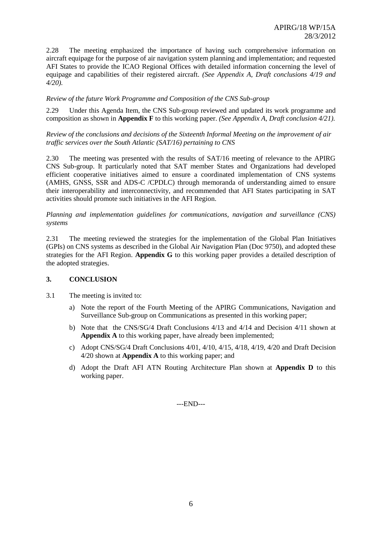2.28 The meeting emphasized the importance of having such comprehensive information on aircraft equipage for the purpose of air navigation system planning and implementation; and requested AFI States to provide the ICAO Regional Offices with detailed information concerning the level of equipage and capabilities of their registered aircraft. *(See Appendix A, Draft conclusions 4/19 and 4/20).*

#### *Review of the future Work Programme and Composition of the CNS Sub-group*

2.29 Under this Agenda Item, the CNS Sub-group reviewed and updated its work programme and composition as shown in **Appendix F** to this working paper. *(See Appendix A, Draft conclusion 4/21).*

#### *Review of the conclusions and decisions of the Sixteenth Informal Meeting on the improvement of air traffic services over the South Atlantic (SAT/16) pertaining to CNS*

2.30 The meeting was presented with the results of SAT/16 meeting of relevance to the APIRG CNS Sub-group. It particularly noted that SAT member States and Organizations had developed efficient cooperative initiatives aimed to ensure a coordinated implementation of CNS systems (AMHS, GNSS, SSR and ADS-C /CPDLC) through memoranda of understanding aimed to ensure their interoperability and interconnectivity, and recommended that AFI States participating in SAT activities should promote such initiatives in the AFI Region.

*Planning and implementation guidelines for communications, navigation and surveillance (CNS) systems*

2.31 The meeting reviewed the strategies for the implementation of the Global Plan Initiatives (GPIs) on CNS systems as described in the Global Air Navigation Plan (Doc 9750), and adopted these strategies for the AFI Region. **Appendix G** to this working paper provides a detailed description of the adopted strategies.

#### **3. CONCLUSION**

- 3.1 The meeting is invited to:
	- a) Note the report of the Fourth Meeting of the APIRG Communications, Navigation and Surveillance Sub-group on Communications as presented in this working paper;
	- b) Note that the CNS/SG/4 Draft Conclusions 4/13 and 4/14 and Decision 4/11 shown at **Appendix A** to this working paper, have already been implemented;
	- c) Adopt CNS/SG/4 Draft Conclusions 4/01, 4/10, 4/15, 4/18, 4/19, 4/20 and Draft Decision 4/20 shown at **Appendix A** to this working paper; and
	- d) Adopt the Draft AFI ATN Routing Architecture Plan shown at **Appendix D** to this working paper.

---END---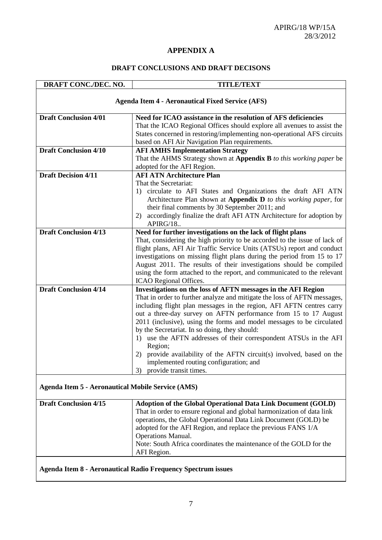## **APPENDIX A**

## **DRAFT CONCLUSIONS AND DRAFT DECISONS**

| DRAFT CONC./DEC. NO.                                     | <b>TITLE/TEXT</b>                                                                                                                         |  |
|----------------------------------------------------------|-------------------------------------------------------------------------------------------------------------------------------------------|--|
|                                                          | <b>Agenda Item 4 - Aeronautical Fixed Service (AFS)</b>                                                                                   |  |
| <b>Draft Conclusion 4/01</b>                             | Need for ICAO assistance in the resolution of AFS deficiencies                                                                            |  |
|                                                          | That the ICAO Regional Offices should explore all avenues to assist the                                                                   |  |
|                                                          | States concerned in restoring/implementing non-operational AFS circuits                                                                   |  |
|                                                          | based on AFI Air Navigation Plan requirements.                                                                                            |  |
| <b>Draft Conclusion 4/10</b>                             | <b>AFI AMHS Implementation Strategy</b>                                                                                                   |  |
|                                                          | That the AHMS Strategy shown at Appendix B to this working paper be                                                                       |  |
|                                                          | adopted for the AFI Region.                                                                                                               |  |
| <b>Draft Decision 4/11</b>                               | <b>AFI ATN Architecture Plan</b>                                                                                                          |  |
|                                                          | That the Secretariat:                                                                                                                     |  |
|                                                          | 1) circulate to AFI States and Organizations the draft AFI ATN                                                                            |  |
|                                                          | Architecture Plan shown at Appendix D to this working paper, for                                                                          |  |
|                                                          | their final comments by 30 September 2011; and                                                                                            |  |
|                                                          | 2) accordingly finalize the draft AFI ATN Architecture for adoption by                                                                    |  |
|                                                          | APIRG/18                                                                                                                                  |  |
| <b>Draft Conclusion 4/13</b>                             | Need for further investigations on the lack of flight plans                                                                               |  |
|                                                          | That, considering the high priority to be accorded to the issue of lack of                                                                |  |
|                                                          | flight plans, AFI Air Traffic Service Units (ATSUs) report and conduct                                                                    |  |
|                                                          | investigations on missing flight plans during the period from 15 to 17                                                                    |  |
|                                                          | August 2011. The results of their investigations should be compiled                                                                       |  |
|                                                          | using the form attached to the report, and communicated to the relevant                                                                   |  |
| <b>Draft Conclusion 4/14</b>                             | ICAO Regional Offices.                                                                                                                    |  |
|                                                          | Investigations on the loss of AFTN messages in the AFI Region<br>That in order to further analyze and mitigate the loss of AFTN messages, |  |
|                                                          | including flight plan messages in the region, AFI AFTN centres carry                                                                      |  |
|                                                          | out a three-day survey on AFTN performance from 15 to 17 August                                                                           |  |
|                                                          | 2011 (inclusive), using the forms and model messages to be circulated                                                                     |  |
|                                                          | by the Secretariat. In so doing, they should:                                                                                             |  |
|                                                          | 1) use the AFTN addresses of their correspondent ATSUs in the AFI                                                                         |  |
|                                                          | Region;                                                                                                                                   |  |
|                                                          | 2) provide availability of the AFTN circuit(s) involved, based on the                                                                     |  |
|                                                          | implemented routing configuration; and                                                                                                    |  |
|                                                          | 3) provide transit times.                                                                                                                 |  |
|                                                          |                                                                                                                                           |  |
| <b>Agenda Item 5 - Aeronautical Mobile Service (AMS)</b> |                                                                                                                                           |  |
|                                                          |                                                                                                                                           |  |

| <b>Draft Conclusion 4/15</b> | <b>Adoption of the Global Operational Data Link Document (GOLD)</b>    |  |
|------------------------------|------------------------------------------------------------------------|--|
|                              | That in order to ensure regional and global harmonization of data link |  |
|                              | operations, the Global Operational Data Link Document (GOLD) be        |  |
|                              | adopted for the AFI Region, and replace the previous FANS 1/A          |  |
|                              | <b>Operations Manual.</b>                                              |  |
|                              | Note: South Africa coordinates the maintenance of the GOLD for the     |  |
|                              | AFI Region.                                                            |  |

**Agenda Item 8 - Aeronautical Radio Frequency Spectrum issues**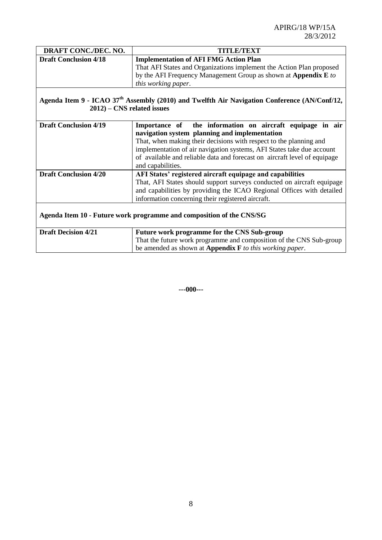| DRAFT CONC./DEC. NO.          | <b>TITLE/TEXT</b>                                                                                                    |  |
|-------------------------------|----------------------------------------------------------------------------------------------------------------------|--|
| <b>Draft Conclusion 4/18</b>  | <b>Implementation of AFI FMG Action Plan</b><br>That AFI States and Organizations implement the Action Plan proposed |  |
|                               | by the AFI Frequency Management Group as shown at Appendix E to                                                      |  |
|                               | this working paper.                                                                                                  |  |
|                               |                                                                                                                      |  |
|                               | Agenda Item 9 - ICAO 37 <sup>th</sup> Assembly (2010) and Twelfth Air Navigation Conference (AN/Conf/12,             |  |
| $2012$ ) – CNS related issues |                                                                                                                      |  |
|                               |                                                                                                                      |  |
| <b>Draft Conclusion 4/19</b>  | Importance of the information on aircraft equipage in air                                                            |  |
|                               | navigation system planning and implementation                                                                        |  |
|                               | That, when making their decisions with respect to the planning and                                                   |  |
|                               | implementation of air navigation systems, AFI States take due account                                                |  |
|                               | of available and reliable data and forecast on aircraft level of equipage                                            |  |
|                               | and capabilities.                                                                                                    |  |
| <b>Draft Conclusion 4/20</b>  | AFI States' registered aircraft equipage and capabilities                                                            |  |
|                               | That, AFI States should support surveys conducted on aircraft equipage                                               |  |
|                               | and capabilities by providing the ICAO Regional Offices with detailed                                                |  |
|                               | information concerning their registered aircraft.                                                                    |  |
|                               |                                                                                                                      |  |
|                               | Agenda Item 10 - Future work programme and composition of the CNS/SG                                                 |  |
|                               |                                                                                                                      |  |
| <b>Draft Decision 4/21</b>    | Future work programme for the CNS Sub-group                                                                          |  |
|                               | That the future work programme and composition of the CNS Sub-group                                                  |  |
|                               | be amended as shown at <b>Appendix</b> $\bf{F}$ to this working paper.                                               |  |

**---000---**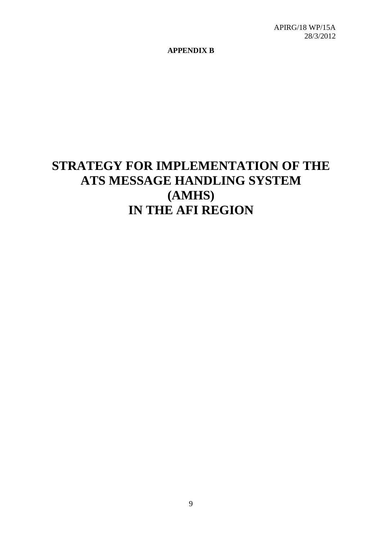**APPENDIX B**

# **STRATEGY FOR IMPLEMENTATION OF THE ATS MESSAGE HANDLING SYSTEM (AMHS) IN THE AFI REGION**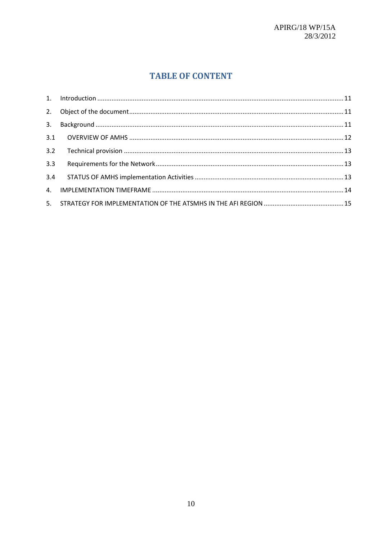## **TABLE OF CONTENT**

| 3.3 |  |
|-----|--|
|     |  |
|     |  |
|     |  |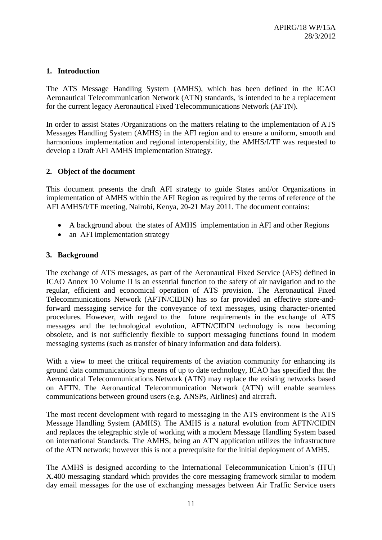## <span id="page-10-0"></span>**1. Introduction**

The ATS Message Handling System (AMHS), which has been defined in the ICAO Aeronautical Telecommunication Network (ATN) standards, is intended to be a replacement for the current legacy Aeronautical Fixed Telecommunications Network (AFTN).

In order to assist States /Organizations on the matters relating to the implementation of ATS Messages Handling System (AMHS) in the AFI region and to ensure a uniform, smooth and harmonious implementation and regional interoperability, the AMHS/I/TF was requested to develop a Draft AFI AMHS Implementation Strategy.

## <span id="page-10-1"></span>**2. Object of the document**

This document presents the draft AFI strategy to guide States and/or Organizations in implementation of AMHS within the AFI Region as required by the terms of reference of the AFI AMHS/I/TF meeting, Nairobi, Kenya, 20-21 May 2011. The document contains:

- A background about the states of AMHS implementation in AFI and other Regions
- an AFI implementation strategy

## <span id="page-10-2"></span>**3. Background**

The exchange of ATS messages, as part of the Aeronautical Fixed Service (AFS) defined in ICAO Annex 10 Volume II is an essential function to the safety of air navigation and to the regular, efficient and economical operation of ATS provision. The Aeronautical Fixed Telecommunications Network (AFTN/CIDIN) has so far provided an effective store-andforward messaging service for the conveyance of text messages, using character-oriented procedures. However, with regard to the future requirements in the exchange of ATS messages and the technological evolution, AFTN/CIDIN technology is now becoming obsolete, and is not sufficiently flexible to support messaging functions found in modern messaging systems (such as transfer of binary information and data folders).

With a view to meet the critical requirements of the aviation community for enhancing its ground data communications by means of up to date technology, ICAO has specified that the Aeronautical Telecommunications Network (ATN) may replace the existing networks based on AFTN. The Aeronautical Telecommunication Network (ATN) will enable seamless communications between ground users (e.g. ANSPs, Airlines) and aircraft.

The most recent development with regard to messaging in the ATS environment is the ATS Message Handling System (AMHS). The AMHS is a natural evolution from AFTN/CIDIN and replaces the telegraphic style of working with a modern Message Handling System based on international Standards. The AMHS, being an ATN application utilizes the infrastructure of the ATN network; however this is not a prerequisite for the initial deployment of AMHS.

The AMHS is designed according to the International Telecommunication Union's (ITU) X.400 messaging standard which provides the core messaging framework similar to modern day email messages for the use of exchanging messages between Air Traffic Service users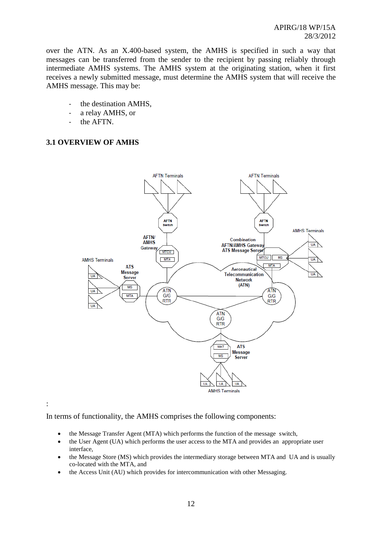over the ATN. As an X.400-based system, the AMHS is specified in such a way that messages can be transferred from the sender to the recipient by passing reliably through intermediate AMHS systems. The AMHS system at the originating station, when it first receives a newly submitted message, must determine the AMHS system that will receive the AMHS message. This may be:

- the destination AMHS,
- a relay AMHS, or
- the AFTN.

## <span id="page-11-0"></span>**3.1 OVERVIEW OF AMHS**



:

In terms of functionality, the AMHS comprises the following components:

- the Message Transfer Agent (MTA) which performs the function of the message switch,
- the User Agent (UA) which performs the user access to the MTA and provides an appropriate user interface,
- the Message Store (MS) which provides the intermediary storage between MTA and UA and is usually co-located with the MTA, and
- the Access Unit (AU) which provides for intercommunication with other Messaging.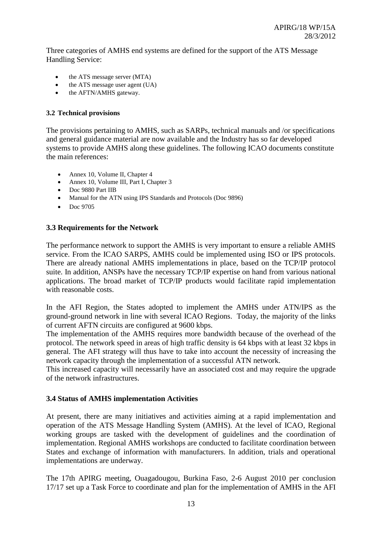Three categories of AMHS end systems are defined for the support of the ATS Message Handling Service:

- the ATS message server (MTA)
- $\bullet$  the ATS message user agent (UA)
- the AFTN/AMHS gateway.

## <span id="page-12-0"></span>**3.2 Technical provisions**

The provisions pertaining to AMHS, such as SARPs, technical manuals and /or specifications and general guidance material are now available and the Industry has so far developed systems to provide AMHS along these guidelines. The following ICAO documents constitute the main references:

- Annex 10, Volume II, Chapter 4
- Annex 10, Volume III, Part I, Chapter 3
- Doc 9880 Part IIB
- Manual for the ATN using IPS Standards and Protocols (Doc 9896)
- Doc 9705

## <span id="page-12-1"></span>**3.3 Requirements for the Network**

The performance network to support the AMHS is very important to ensure a reliable AMHS service. From the ICAO SARPS, AMHS could be implemented using ISO or IPS protocols. There are already national AMHS implementations in place, based on the TCP/IP protocol suite. In addition, ANSPs have the necessary TCP/IP expertise on hand from various national applications. The broad market of TCP/IP products would facilitate rapid implementation with reasonable costs.

In the AFI Region, the States adopted to implement the AMHS under ATN/IPS as the ground-ground network in line with several ICAO Regions. Today, the majority of the links of current AFTN circuits are configured at 9600 kbps.

The implementation of the AMHS requires more bandwidth because of the overhead of the protocol. The network speed in areas of high traffic density is 64 kbps with at least 32 kbps in general. The AFI strategy will thus have to take into account the necessity of increasing the network capacity through the implementation of a successful ATN network.

This increased capacity will necessarily have an associated cost and may require the upgrade of the network infrastructures.

## <span id="page-12-2"></span>**3.4 Status of AMHS implementation Activities**

At present, there are many initiatives and activities aiming at a rapid implementation and operation of the ATS Message Handling System (AMHS). At the level of ICAO, Regional working groups are tasked with the development of guidelines and the coordination of implementation. Regional AMHS workshops are conducted to facilitate coordination between States and exchange of information with manufacturers. In addition, trials and operational implementations are underway.

The 17th APIRG meeting, Ouagadougou, Burkina Faso, 2-6 August 2010 per conclusion 17/17 set up a Task Force to coordinate and plan for the implementation of AMHS in the AFI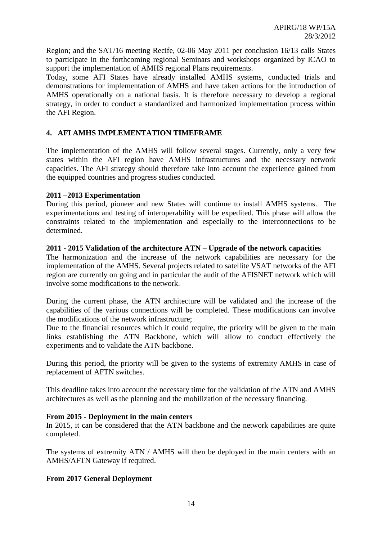Region; and the SAT/16 meeting Recife, 02-06 May 2011 per conclusion 16/13 calls States to participate in the forthcoming regional Seminars and workshops organized by ICAO to support the implementation of AMHS regional Plans requirements.

Today, some AFI States have already installed AMHS systems, conducted trials and demonstrations for implementation of AMHS and have taken actions for the introduction of AMHS operationally on a national basis. It is therefore necessary to develop a regional strategy, in order to conduct a standardized and harmonized implementation process within the AFI Region.

## <span id="page-13-0"></span>**4. AFI AMHS IMPLEMENTATION TIMEFRAME**

The implementation of the AMHS will follow several stages. Currently, only a very few states within the AFI region have AMHS infrastructures and the necessary network capacities. The AFI strategy should therefore take into account the experience gained from the equipped countries and progress studies conducted.

## **2011 –2013 Experimentation**

During this period, pioneer and new States will continue to install AMHS systems. The experimentations and testing of interoperability will be expedited. This phase will allow the constraints related to the implementation and especially to the interconnections to be determined.

## **2011 - 2015 Validation of the architecture ATN – Upgrade of the network capacities**

The harmonization and the increase of the network capabilities are necessary for the implementation of the AMHS. Several projects related to satellite VSAT networks of the AFI region are currently on going and in particular the audit of the AFISNET network which will involve some modifications to the network.

During the current phase, the ATN architecture will be validated and the increase of the capabilities of the various connections will be completed. These modifications can involve the modifications of the network infrastructure;

Due to the financial resources which it could require, the priority will be given to the main links establishing the ATN Backbone, which will allow to conduct effectively the experiments and to validate the ATN backbone.

During this period, the priority will be given to the systems of extremity AMHS in case of replacement of AFTN switches.

This deadline takes into account the necessary time for the validation of the ATN and AMHS architectures as well as the planning and the mobilization of the necessary financing.

## **From 2015 - Deployment in the main centers**

In 2015, it can be considered that the ATN backbone and the network capabilities are quite completed.

The systems of extremity ATN / AMHS will then be deployed in the main centers with an AMHS/AFTN Gateway if required.

## **From 2017 General Deployment**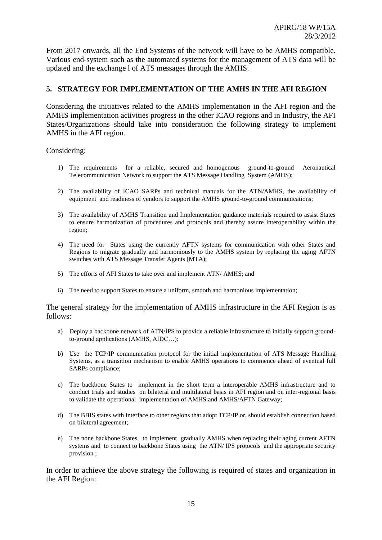From 2017 onwards, all the End Systems of the network will have to be AMHS compatible. Various end-system such as the automated systems for the management of ATS data will be updated and the exchange l of ATS messages through the AMHS.

## <span id="page-14-0"></span>**5. STRATEGY FOR IMPLEMENTATION OF THE AMHS IN THE AFI REGION**

Considering the initiatives related to the AMHS implementation in the AFI region and the AMHS implementation activities progress in the other ICAO regions and in Industry, the AFI States/Organizations should take into consideration the following strategy to implement AMHS in the AFI region.

Considering:

- 1) The requirements for a reliable, secured and homogenous ground-to-ground Aeronautical Telecommunication Network to support the ATS Message Handling System (AMHS);
- 2) The availability of ICAO SARPs and technical manuals for the ATN/AMHS, the availability of equipment and readiness of vendors to support the AMHS ground-to-ground communications;
- 3) The availability of AMHS Transition and Implementation guidance materials required to assist States to ensure harmonization of procedures and protocols and thereby assure interoperability within the region;
- 4) The need for States using the currently AFTN systems for communication with other States and Regions to migrate gradually and harmoniously to the AMHS system by replacing the aging AFTN switches with ATS Message Transfer Agents (MTA);
- 5) The efforts of AFI States to take over and implement ATN/ AMHS; and
- 6) The need to support States to ensure a uniform, smooth and harmonious implementation;

The general strategy for the implementation of AMHS infrastructure in the AFI Region is as follows:

- a) Deploy a backbone network of ATN/IPS to provide a reliable infrastructure to initially support groundto-ground applications (AMHS, AIDC…);
- b) Use the TCP/IP communication protocol for the initial implementation of ATS Message Handling Systems, as a transition mechanism to enable AMHS operations to commence ahead of eventual full SARPs compliance;
- c) The backbone States to implement in the short term a interoperable AMHS infrastructure and to conduct trials and studies on bilateral and multilateral basis in AFI region and on inter-regional basis to validate the operational implementation of AMHS and AMHS/AFTN Gateway;
- d) The BBIS states with interface to other regions that adopt TCP/IP or, should establish connection based on bilateral agreement;
- e) The none backbone States, to implement gradually AMHS when replacing their aging current AFTN systems and to connect to backbone States using the ATN/ IPS protocols and the appropriate security provision ;

In order to achieve the above strategy the following is required of states and organization in the AFI Region: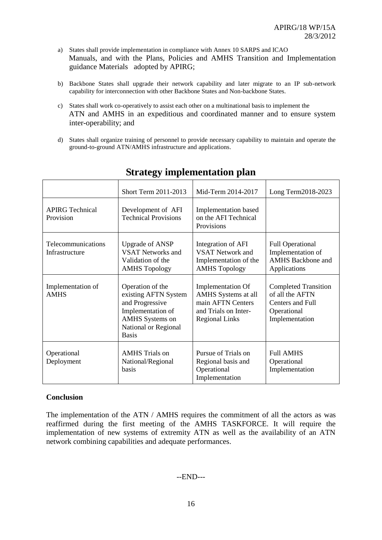- a) States shall provide implementation in compliance with Annex 10 SARPS and ICAO Manuals, and with the Plans, Policies and AMHS Transition and Implementation guidance Materials adopted by APIRG;
- b) Backbone States shall upgrade their network capability and later migrate to an IP sub-network capability for interconnection with other Backbone States and Non-backbone States.
- c) States shall work co-operatively to assist each other on a multinational basis to implement the ATN and AMHS in an expeditious and coordinated manner and to ensure system inter-operability; and
- d) States shall organize training of personnel to provide necessary capability to maintain and operate the ground-to-ground ATN/AMHS infrastructure and applications.

|                                      | Short Term 2011-2013                                                                                                                               | Mid-Term 2014-2017                                                                                             | Long Term2018-2023                                                                                  |
|--------------------------------------|----------------------------------------------------------------------------------------------------------------------------------------------------|----------------------------------------------------------------------------------------------------------------|-----------------------------------------------------------------------------------------------------|
| <b>APIRG Technical</b><br>Provision  | Development of AFI<br><b>Technical Provisions</b>                                                                                                  | <b>Implementation</b> based<br>on the AFI Technical<br>Provisions                                              |                                                                                                     |
| Telecommunications<br>Infrastructure | <b>Upgrade of ANSP</b><br><b>VSAT Networks and</b><br>Validation of the<br><b>AMHS</b> Topology                                                    | Integration of AFI<br><b>VSAT Network and</b><br>Implementation of the<br><b>AMHS Topology</b>                 | <b>Full Operational</b><br>Implementation of<br><b>AMHS</b> Backbone and<br>Applications            |
| Implementation of<br><b>AMHS</b>     | Operation of the<br>existing AFTN System<br>and Progressive<br>Implementation of<br><b>AMHS</b> Systems on<br>National or Regional<br><b>Basis</b> | Implementation Of<br>AMHS Systems at all<br>main AFTN Centers<br>and Trials on Inter-<br><b>Regional Links</b> | <b>Completed Transition</b><br>of all the AFTN<br>Centers and Full<br>Operational<br>Implementation |
| Operational<br>Deployment            | <b>AMHS</b> Trials on<br>National/Regional<br>basis                                                                                                | Pursue of Trials on<br>Regional basis and<br>Operational<br>Implementation                                     | <b>Full AMHS</b><br>Operational<br>Implementation                                                   |

## **Strategy implementation plan**

## **Conclusion**

The implementation of the ATN / AMHS requires the commitment of all the actors as was reaffirmed during the first meeting of the AMHS TASKFORCE. It will require the implementation of new systems of extremity ATN as well as the availability of an ATN network combining capabilities and adequate performances.

## --END---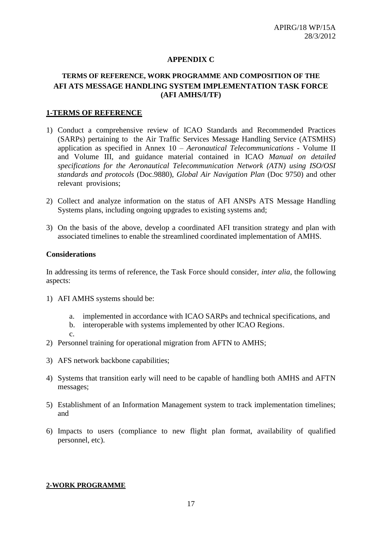## **APPENDIX C**

## **TERMS OF REFERENCE, WORK PROGRAMME AND COMPOSITION OF THE AFI ATS MESSAGE HANDLING SYSTEM IMPLEMENTATION TASK FORCE (AFI AMHS/I/TF)**

#### **1-TERMS OF REFERENCE**

- 1) Conduct a comprehensive review of ICAO Standards and Recommended Practices (SARPs) pertaining to the Air Traffic Services Message Handling Service (ATSMHS) application as specified in Annex 10 – *Aeronautical Telecommunications* - Volume II and Volume III, and guidance material contained in ICAO *Manual on detailed specifications for the Aeronautical Telecommunication Network (ATN) using ISO/OSI standards and protocols* (Doc.9880), *Global Air Navigation Plan* (Doc 9750) and other relevant provisions;
- 2) Collect and analyze information on the status of AFI ANSPs ATS Message Handling Systems plans, including ongoing upgrades to existing systems and;
- 3) On the basis of the above, develop a coordinated AFI transition strategy and plan with associated timelines to enable the streamlined coordinated implementation of AMHS.

#### **Considerations**

In addressing its terms of reference, the Task Force should consider, *inter alia,* the following aspects:

- 1) AFI AMHS systems should be:
	- a. implemented in accordance with ICAO SARPs and technical specifications, and
	- b. interoperable with systems implemented by other ICAO Regions.
	- c.
- 2) Personnel training for operational migration from AFTN to AMHS;
- 3) AFS network backbone capabilities;
- 4) Systems that transition early will need to be capable of handling both AMHS and AFTN messages;
- 5) Establishment of an Information Management system to track implementation timelines; and
- 6) Impacts to users (compliance to new flight plan format, availability of qualified personnel, etc).

#### **2-WORK PROGRAMME**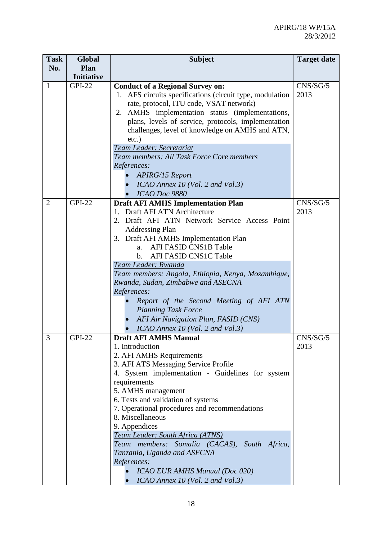| <b>Task</b>    | <b>Global</b>     | <b>Subject</b>                                                                      | <b>Target date</b> |
|----------------|-------------------|-------------------------------------------------------------------------------------|--------------------|
| No.            | Plan              |                                                                                     |                    |
|                | <b>Initiative</b> |                                                                                     |                    |
| $\mathbf{1}$   | <b>GPI-22</b>     | <b>Conduct of a Regional Survey on:</b>                                             | CNS/SG/5           |
|                |                   | 1. AFS circuits specifications (circuit type, modulation                            | 2013               |
|                |                   | rate, protocol, ITU code, VSAT network)                                             |                    |
|                |                   | 2. AMHS implementation status (implementations,                                     |                    |
|                |                   | plans, levels of service, protocols, implementation                                 |                    |
|                |                   | challenges, level of knowledge on AMHS and ATN,                                     |                    |
|                |                   | $etc.$ )                                                                            |                    |
|                |                   | Team Leader: Secretariat                                                            |                    |
|                |                   | Team members: All Task Force Core members                                           |                    |
|                |                   | References:                                                                         |                    |
|                |                   | APIRG/15 Report                                                                     |                    |
|                |                   | ICAO Annex 10 (Vol. 2 and Vol.3)                                                    |                    |
|                |                   | ICAO Doc 9880                                                                       |                    |
| $\overline{2}$ | <b>GPI-22</b>     | <b>Draft AFI AMHS Implementation Plan</b>                                           | CNS/SG/5           |
|                |                   | 1. Draft AFI ATN Architecture                                                       | 2013               |
|                |                   | 2. Draft AFI ATN Network Service Access Point                                       |                    |
|                |                   | <b>Addressing Plan</b>                                                              |                    |
|                |                   | 3. Draft AFI AMHS Implementation Plan                                               |                    |
|                |                   | AFI FASID CNS1B Table<br>a.                                                         |                    |
|                |                   | AFI FASID CNS1C Table<br>$b_{-}$                                                    |                    |
|                |                   | Team Leader: Rwanda                                                                 |                    |
|                |                   | Team members: Angola, Ethiopia, Kenya, Mozambique,                                  |                    |
|                |                   | Rwanda, Sudan, Zimbabwe and ASECNA                                                  |                    |
|                |                   | References:                                                                         |                    |
|                |                   | Report of the Second Meeting of AFI ATN                                             |                    |
|                |                   | <b>Planning Task Force</b>                                                          |                    |
|                |                   | AFI Air Navigation Plan, FASID (CNS)                                                |                    |
|                |                   | ICAO Annex 10 (Vol. 2 and Vol.3)                                                    |                    |
| 3              | <b>GPI-22</b>     | <b>Draft AFI AMHS Manual</b>                                                        | CNS/SG/5           |
|                |                   | 1. Introduction                                                                     | 2013               |
|                |                   | 2. AFI AMHS Requirements                                                            |                    |
|                |                   | 3. AFI ATS Messaging Service Profile                                                |                    |
|                |                   | 4. System implementation - Guidelines for system                                    |                    |
|                |                   | requirements                                                                        |                    |
|                |                   | 5. AMHS management                                                                  |                    |
|                |                   | 6. Tests and validation of systems<br>7. Operational procedures and recommendations |                    |
|                |                   | 8. Miscellaneous                                                                    |                    |
|                |                   | 9. Appendices                                                                       |                    |
|                |                   | Team Leader: South Africa (ATNS)                                                    |                    |
|                |                   | Team members: Somalia (CACAS), South Africa,                                        |                    |
|                |                   | Tanzania, Uganda and ASECNA                                                         |                    |
|                |                   | References:                                                                         |                    |
|                |                   | <b>ICAO EUR AMHS Manual (Doc 020)</b>                                               |                    |
|                |                   | ICAO Annex 10 (Vol. 2 and Vol.3)                                                    |                    |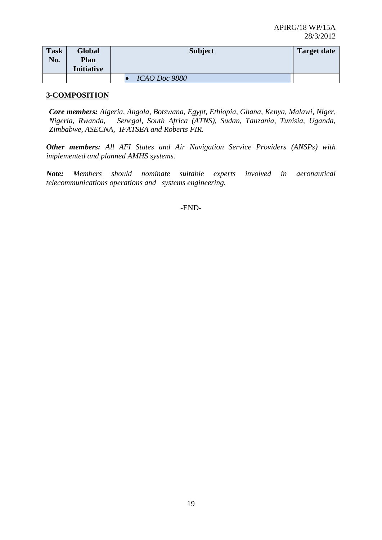| <b>Task</b><br>No. | Global<br><b>Plan</b><br><b>Initiative</b> | <b>Subject</b>       | <b>Target date</b> |
|--------------------|--------------------------------------------|----------------------|--------------------|
|                    |                                            | <i>ICAO Doc 9880</i> |                    |

## **3-COMPOSITION**

*Core members: Algeria, Angola, Botswana, Egypt, Ethiopia, Ghana, Kenya, Malawi, Niger, Nigeria, Rwanda, Senegal, South Africa (ATNS), Sudan, Tanzania, Tunisia, Uganda, Zimbabwe, ASECNA, IFATSEA and Roberts FIR.* 

*Other members: All AFI States and Air Navigation Service Providers (ANSPs) with implemented and planned AMHS systems.*

*Note: Members should nominate suitable experts involved in aeronautical telecommunications operations and systems engineering.*

-END-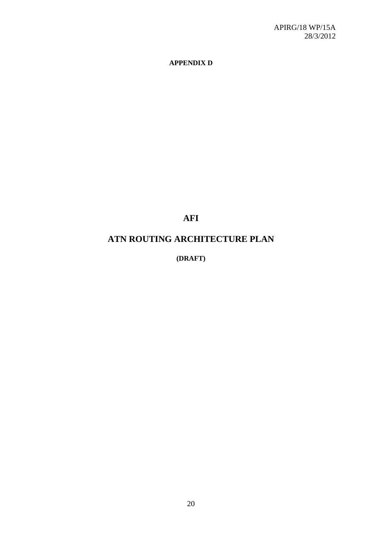## **APPENDIX D**

**AFI**

## **ATN ROUTING ARCHITECTURE PLAN**

**(DRAFT)**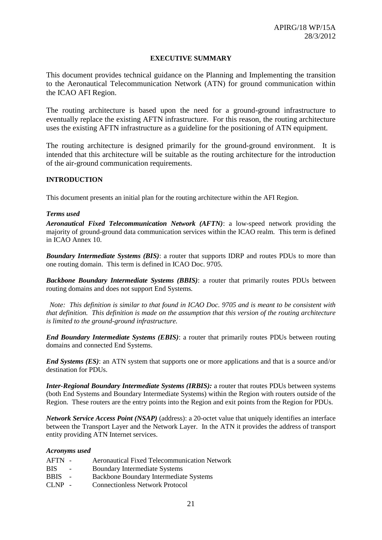#### **EXECUTIVE SUMMARY**

This document provides technical guidance on the Planning and Implementing the transition to the Aeronautical Telecommunication Network (ATN) for ground communication within the ICAO AFI Region.

The routing architecture is based upon the need for a ground-ground infrastructure to eventually replace the existing AFTN infrastructure. For this reason, the routing architecture uses the existing AFTN infrastructure as a guideline for the positioning of ATN equipment.

The routing architecture is designed primarily for the ground-ground environment. It is intended that this architecture will be suitable as the routing architecture for the introduction of the air-ground communication requirements.

#### **INTRODUCTION**

This document presents an initial plan for the routing architecture within the AFI Region.

#### *Terms used*

*Aeronautical Fixed Telecommunication Network (AFTN)*: a low-speed network providing the majority of ground-ground data communication services within the ICAO realm. This term is defined in ICAO Annex 10.

*Boundary Intermediate Systems (BIS)*: a router that supports IDRP and routes PDUs to more than one routing domain. This term is defined in ICAO Doc. 9705.

**Backbone Boundary Intermediate Systems (BBIS)**: a router that primarily routes PDUs between routing domains and does not support End Systems*.*

 *Note: This definition is similar to that found in ICAO Doc. 9705 and is meant to be consistent with that definition. This definition is made on the assumption that this version of the routing architecture is limited to the ground-ground infrastructure.*

*End Boundary Intermediate Systems (EBIS)*: a router that primarily routes PDUs between routing domains and connected End Systems.

*End Systems (ES)*: an ATN system that supports one or more applications and that is a source and/or destination for PDUs.

*Inter-Regional Boundary Intermediate Systems (IRBIS):* a router that routes PDUs between systems (both End Systems and Boundary Intermediate Systems) within the Region with routers outside of the Region. These routers are the entry points into the Region and exit points from the Region for PDUs.

*Network Service Access Point (NSAP)* (address): a 20-octet value that uniquely identifies an interface between the Transport Layer and the Network Layer. In the ATN it provides the address of transport entity providing ATN Internet services.

#### *Acronyms used*

- AFTN Aeronautical Fixed Telecommunication Network
- BIS Boundary Intermediate Systems
- BBIS Backbone Boundary Intermediate Systems
- CLNP Connectionless Network Protocol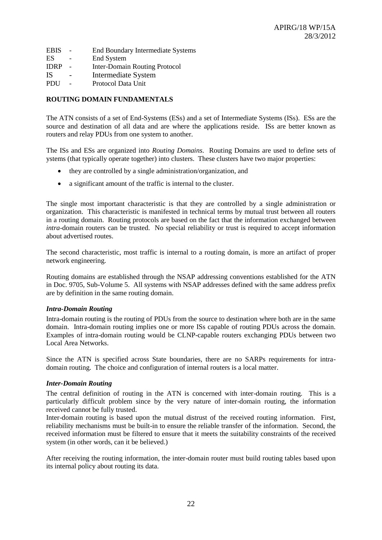- EBIS End Boundary Intermediate Systems
- ES End System
- IDRP Inter-Domain Routing Protocol
- IS Intermediate System
- PDU Protocol Data Unit

#### **ROUTING DOMAIN FUNDAMENTALS**

The ATN consists of a set of End-Systems (ESs) and a set of Intermediate Systems (ISs). ESs are the source and destination of all data and are where the applications reside. ISs are better known as routers and relay PDUs from one system to another.

The ISs and ESs are organized into *Routing Domains*. Routing Domains are used to define sets of ystems (that typically operate together) into clusters. These clusters have two major properties:

- they are controlled by a single administration/organization, and
- a significant amount of the traffic is internal to the cluster.

The single most important characteristic is that they are controlled by a single administration or organization. This characteristic is manifested in technical terms by mutual trust between all routers in a routing domain. Routing protocols are based on the fact that the information exchanged between *intra*-domain routers can be trusted. No special reliability or trust is required to accept information about advertised routes.

The second characteristic, most traffic is internal to a routing domain, is more an artifact of proper network engineering.

Routing domains are established through the NSAP addressing conventions established for the ATN in Doc. 9705, Sub-Volume 5. All systems with NSAP addresses defined with the same address prefix are by definition in the same routing domain.

#### *Intra-Domain Routing*

Intra-domain routing is the routing of PDUs from the source to destination where both are in the same domain. Intra-domain routing implies one or more ISs capable of routing PDUs across the domain. Examples of intra-domain routing would be CLNP-capable routers exchanging PDUs between two Local Area Networks.

Since the ATN is specified across State boundaries, there are no SARPs requirements for intradomain routing. The choice and configuration of internal routers is a local matter.

#### *Inter-Domain Routing*

The central definition of routing in the ATN is concerned with inter-domain routing. This is a particularly difficult problem since by the very nature of inter-domain routing, the information received cannot be fully trusted.

Inter-domain routing is based upon the mutual distrust of the received routing information. First, reliability mechanisms must be built-in to ensure the reliable transfer of the information. Second, the received information must be filtered to ensure that it meets the suitability constraints of the received system (in other words, can it be believed.)

After receiving the routing information, the inter-domain router must build routing tables based upon its internal policy about routing its data.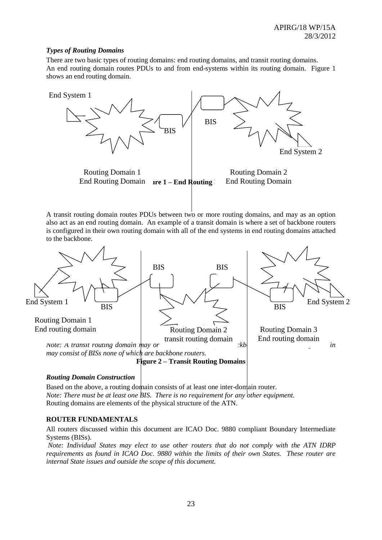#### *Types of Routing Domains*

There are two basic types of routing domains: end routing domains, and transit routing domains. An end routing domain routes PDUs to and from end-systems within its routing domain. Figure 1 shows an end routing domain.



A transit routing domain routes PDUs between two or more routing domains, and may as an option also act as an end routing domain. An example of a transit domain is where a set of backbone routers is configured in their own routing domain with all of the end systems in end routing domains attached to the backbone.



#### *Routing Domain Construction*

Based on the above, a routing domain consists of at least one inter-domain router. *Note: There must be at least one BIS. There is no requirement for any other equipment.* Routing domains are elements of the physical structure of the ATN.

#### **ROUTER FUNDAMENTALS**

All routers discussed within this document are ICAO Doc. 9880 compliant Boundary Intermediate Systems (BISs).

*Note: Individual States may elect to use other routers that do not comply with the ATN IDRP requirements as found in ICAO Doc. 9880 within the limits of their own States. These router are internal State issues and outside the scope of this document.*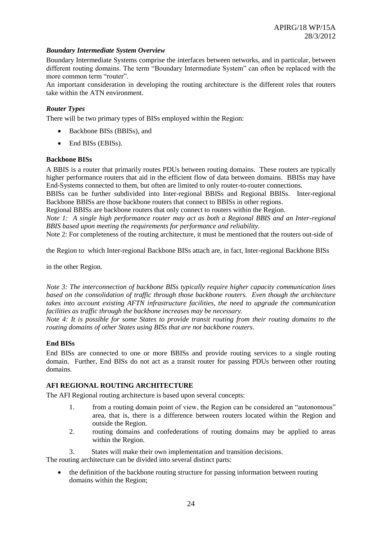#### *Boundary Intermediate System Overview*

Boundary Intermediate Systems comprise the interfaces between networks, and in particular, between different routing domains. The term "Boundary Intermediate System" can often be replaced with the more common term "router".

An important consideration in developing the routing architecture is the different roles that routers take within the ATN environment.

#### *Router Types*

There will be two primary types of BISs employed within the Region:

- Backbone BISs (BBISs), and
- End BISs (EBISs).

#### **Backbone BISs**

A BBIS is a router that primarily routes PDUs between routing domains. These routers are typically higher performance routers that aid in the efficient flow of data between domains. BBISs may have End-Systems connected to them, but often are limited to only router-to-router connections.

BBISs can be further subdivided into Inter-regional BBISs and Regional BBISs. Inter-regional Backbone BBISs are those backbone routers that connect to BBISs in other regions.

Regional BBISs are backbone routers that only connect to routers within the Region.

*Note 1: A single high performance router may act as both a Regional BBIS and an Inter-regional BBIS based upon meeting the requirements for performance and reliability.*

Note 2: For completeness of the routing architecture, it must be mentioned that the routers out-side of

the Region to which Inter-regional Backbone BISs attach are, in fact, Inter-regional Backbone BISs

in the other Region.

*Note 3: The interconnection of backbone BISs typically require higher capacity communication lines based on the consolidation of traffic through those backbone routers. Even though the architecture takes into account existing AFTN infrastructure facilities, the need to upgrade the communication facilities as traffic through the backbone increases may be necessary.*

*Note 4: It is possible for some States to provide transit routing from their routing domains to the routing domains of other States using BISs that are not backbone routers.*

#### **End BISs**

End BISs are connected to one or more BBISs and provide routing services to a single routing domain. Further, End BISs do not act as a transit router for passing PDUs between other routing domains.

#### **AFI REGIONAL ROUTING ARCHITECTURE**

The AFI Regional routing architecture is based upon several concepts:

- 1. from a routing domain point of view, the Region can be considered an "autonomous" area, that is, there is a difference between routers located within the Region and outside the Region.
- 2. routing domains and confederations of routing domains may be applied to areas within the Region.
- 3. States will make their own implementation and transition decisions.

The routing architecture can be divided into several distinct parts:

• the definition of the backbone routing structure for passing information between routing domains within the Region;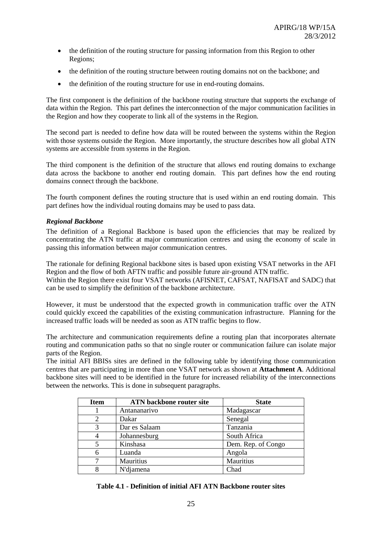- the definition of the routing structure for passing information from this Region to other Regions;
- the definition of the routing structure between routing domains not on the backbone; and
- the definition of the routing structure for use in end-routing domains.

The first component is the definition of the backbone routing structure that supports the exchange of data within the Region. This part defines the interconnection of the major communication facilities in the Region and how they cooperate to link all of the systems in the Region.

The second part is needed to define how data will be routed between the systems within the Region with those systems outside the Region. More importantly, the structure describes how all global ATN systems are accessible from systems in the Region.

The third component is the definition of the structure that allows end routing domains to exchange data across the backbone to another end routing domain. This part defines how the end routing domains connect through the backbone.

The fourth component defines the routing structure that is used within an end routing domain. This part defines how the individual routing domains may be used to pass data.

## *Regional Backbone*

The definition of a Regional Backbone is based upon the efficiencies that may be realized by concentrating the ATN traffic at major communication centres and using the economy of scale in passing this information between major communication centres.

The rationale for defining Regional backbone sites is based upon existing VSAT networks in the AFI Region and the flow of both AFTN traffic and possible future air-ground ATN traffic. Within the Region there exist four VSAT networks (AFISNET, CAFSAT, NAFISAT and SADC) that can be used to simplify the definition of the backbone architecture.

However, it must be understood that the expected growth in communication traffic over the ATN could quickly exceed the capabilities of the existing communication infrastructure. Planning for the increased traffic loads will be needed as soon as ATN traffic begins to flow.

The architecture and communication requirements define a routing plan that incorporates alternate routing and communication paths so that no single router or communication failure can isolate major parts of the Region.

The initial AFI BBISs sites are defined in the following table by identifying those communication centres that are participating in more than one VSAT network as shown at **Attachment A**. Additional backbone sites will need to be identified in the future for increased reliability of the interconnections between the networks. This is done in subsequent paragraphs.

| <b>Item</b> | <b>ATN</b> backbone router site | <b>State</b>       |
|-------------|---------------------------------|--------------------|
|             | Antananarivo                    | Madagascar         |
| 2           | Dakar                           | Senegal            |
| 3           | Dar es Salaam                   | Tanzania           |
|             | Johannesburg                    | South Africa       |
|             | Kinshasa                        | Dem. Rep. of Congo |
| 6           | Luanda                          | Angola             |
|             | Mauritius                       | Mauritius          |
|             | N'djamena                       | Chad               |

#### **Table 4.1 - Definition of initial AFI ATN Backbone router sites**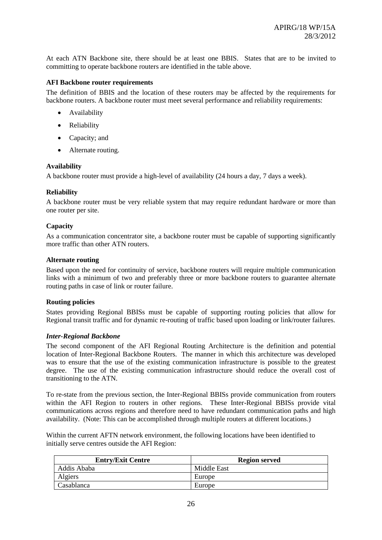At each ATN Backbone site, there should be at least one BBIS. States that are to be invited to committing to operate backbone routers are identified in the table above.

#### **AFI Backbone router requirements**

The definition of BBIS and the location of these routers may be affected by the requirements for backbone routers. A backbone router must meet several performance and reliability requirements:

- Availability
- Reliability
- Capacity: and
- Alternate routing.

## **Availability**

A backbone router must provide a high-level of availability (24 hours a day, 7 days a week).

## **Reliability**

A backbone router must be very reliable system that may require redundant hardware or more than one router per site.

## **Capacity**

As a communication concentrator site, a backbone router must be capable of supporting significantly more traffic than other ATN routers.

#### **Alternate routing**

Based upon the need for continuity of service, backbone routers will require multiple communication links with a minimum of two and preferably three or more backbone routers to guarantee alternate routing paths in case of link or router failure.

## **Routing policies**

States providing Regional BBISs must be capable of supporting routing policies that allow for Regional transit traffic and for dynamic re-routing of traffic based upon loading or link/router failures.

#### *Inter-Regional Backbone*

The second component of the AFI Regional Routing Architecture is the definition and potential location of Inter-Regional Backbone Routers. The manner in which this architecture was developed was to ensure that the use of the existing communication infrastructure is possible to the greatest degree. The use of the existing communication infrastructure should reduce the overall cost of transitioning to the ATN.

To re-state from the previous section, the Inter-Regional BBISs provide communication from routers within the AFI Region to routers in other regions. These Inter-Regional BBISs provide vital communications across regions and therefore need to have redundant communication paths and high availability. (Note: This can be accomplished through multiple routers at different locations.)

Within the current AFTN network environment, the following locations have been identified to initially serve centres outside the AFI Region:

| <b>Entry/Exit Centre</b> | <b>Region served</b> |
|--------------------------|----------------------|
| Addis Ababa              | Middle East          |
| Algiers                  | Europe               |
| Casablanca               | Europe               |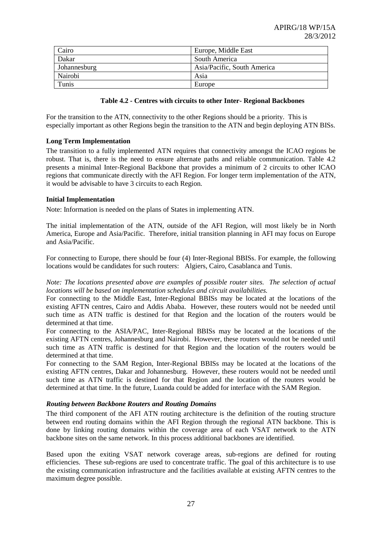| Cairo        | Europe, Middle East         |
|--------------|-----------------------------|
| Dakar        | South America               |
| Johannesburg | Asia/Pacific, South America |
| Nairobi      | Asia                        |
| Tunis        | Europe                      |

#### **Table 4.2 - Centres with circuits to other Inter- Regional Backbones**

For the transition to the ATN, connectivity to the other Regions should be a priority. This is especially important as other Regions begin the transition to the ATN and begin deploying ATN BISs.

#### **Long Term Implementation**

The transition to a fully implemented ATN requires that connectivity amongst the ICAO regions be robust. That is, there is the need to ensure alternate paths and reliable communication. Table 4.2 presents a minimal Inter-Regional Backbone that provides a minimum of 2 circuits to other ICAO regions that communicate directly with the AFI Region. For longer term implementation of the ATN, it would be advisable to have 3 circuits to each Region.

#### **Initial Implementation**

Note: Information is needed on the plans of States in implementing ATN.

The initial implementation of the ATN, outside of the AFI Region, will most likely be in North America, Europe and Asia/Pacific. Therefore, initial transition planning in AFI may focus on Europe and Asia/Pacific.

For connecting to Europe, there should be four (4) Inter-Regional BBISs. For example, the following locations would be candidates for such routers: Algiers, Cairo, Casablanca and Tunis.

*Note: The locations presented above are examples of possible router sites. The selection of actual locations will be based on implementation schedules and circuit availabilities.*

For connecting to the Middle East, Inter-Regional BBISs may be located at the locations of the existing AFTN centres, Cairo and Addis Ababa. However, these routers would not be needed until such time as ATN traffic is destined for that Region and the location of the routers would be determined at that time.

For connecting to the ASIA/PAC, Inter-Regional BBISs may be located at the locations of the existing AFTN centres, Johannesburg and Nairobi. However, these routers would not be needed until such time as ATN traffic is destined for that Region and the location of the routers would be determined at that time.

For connecting to the SAM Region, Inter-Regional BBISs may be located at the locations of the existing AFTN centres, Dakar and Johannesburg. However, these routers would not be needed until such time as ATN traffic is destined for that Region and the location of the routers would be determined at that time. In the future, Luanda could be added for interface with the SAM Region.

#### *Routing between Backbone Routers and Routing Domains*

The third component of the AFI ATN routing architecture is the definition of the routing structure between end routing domains within the AFI Region through the regional ATN backbone. This is done by linking routing domains within the coverage area of each VSAT network to the ATN backbone sites on the same network. In this process additional backbones are identified.

Based upon the exiting VSAT network coverage areas, sub-regions are defined for routing efficiencies. These sub-regions are used to concentrate traffic. The goal of this architecture is to use the existing communication infrastructure and the facilities available at existing AFTN centres to the maximum degree possible.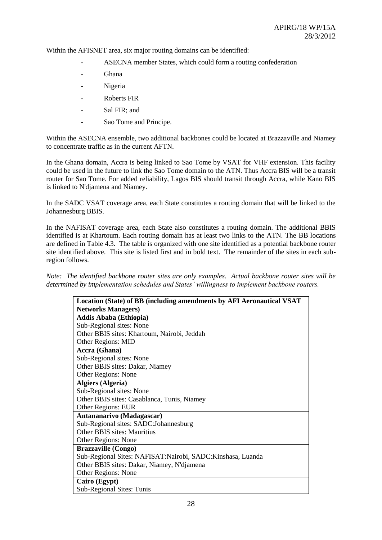Within the AFISNET area, six major routing domains can be identified:

- ASECNA member States, which could form a routing confederation
- Ghana
- Nigeria
- Roberts FIR
- Sal FIR: and
- Sao Tome and Principe.

Within the ASECNA ensemble, two additional backbones could be located at Brazzaville and Niamey to concentrate traffic as in the current AFTN.

In the Ghana domain, Accra is being linked to Sao Tome by VSAT for VHF extension. This facility could be used in the future to link the Sao Tome domain to the ATN. Thus Accra BIS will be a transit router for Sao Tome. For added reliability, Lagos BIS should transit through Accra, while Kano BIS is linked to N'djamena and Niamey.

In the SADC VSAT coverage area, each State constitutes a routing domain that will be linked to the Johannesburg BBIS.

In the NAFISAT coverage area, each State also constitutes a routing domain. The additional BBIS identified is at Khartoum. Each routing domain has at least two links to the ATN. The BB locations are defined in Table 4.3. The table is organized with one site identified as a potential backbone router site identified above. This site is listed first and in bold text. The remainder of the sites in each subregion follows.

*Note: The identified backbone router sites are only examples. Actual backbone router sites will be determined by implementation schedules and States' willingness to implement backbone routers.*

| Location (State) of BB (including amendments by AFI Aeronautical VSAT |
|-----------------------------------------------------------------------|
| <b>Networks Managers)</b>                                             |
| <b>Addis Ababa (Ethiopia)</b>                                         |
| Sub-Regional sites: None                                              |
| Other BBIS sites: Khartoum, Nairobi, Jeddah                           |
| Other Regions: MID                                                    |
| Accra (Ghana)                                                         |
| Sub-Regional sites: None                                              |
| Other BBIS sites: Dakar, Niamey                                       |
| Other Regions: None                                                   |
| <b>Algiers (Algeria)</b>                                              |
| Sub-Regional sites: None                                              |
| Other BBIS sites: Casablanca, Tunis, Niamey                           |
| <b>Other Regions: EUR</b>                                             |
| Antananarivo (Madagascar)                                             |
| Sub-Regional sites: SADC:Johannesburg                                 |
| <b>Other BBIS sites: Mauritius</b>                                    |
| Other Regions: None                                                   |
| <b>Brazzaville (Congo)</b>                                            |
| Sub-Regional Sites: NAFISAT: Nairobi, SADC: Kinshasa, Luanda          |
| Other BBIS sites: Dakar, Niamey, N'djamena                            |
| Other Regions: None                                                   |
| Cairo (Egypt)                                                         |
| Sub-Regional Sites: Tunis                                             |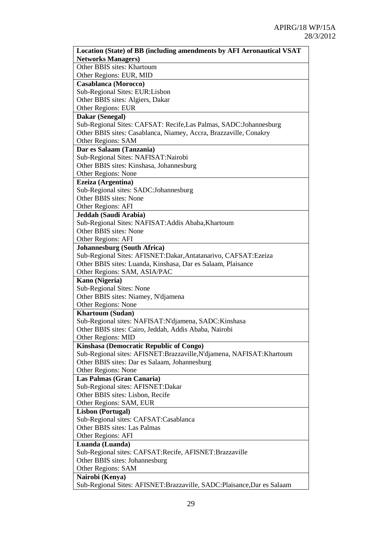| Location (State) of BB (including amendments by AFI Aeronautical VSAT                    |
|------------------------------------------------------------------------------------------|
| <b>Networks Managers)</b>                                                                |
| Other BBIS sites: Khartoum                                                               |
| Other Regions: EUR, MID                                                                  |
| <b>Casablanca</b> (Morocco)                                                              |
| Sub-Regional Sites: EUR:Lisbon                                                           |
| Other BBIS sites: Algiers, Dakar                                                         |
| <b>Other Regions: EUR</b>                                                                |
| Dakar (Senegal)                                                                          |
| Sub-Regional Sites: CAFSAT: Recife, Las Palmas, SADC: Johannesburg                       |
| Other BBIS sites: Casablanca, Niamey, Accra, Brazzaville, Conakry                        |
| <b>Other Regions: SAM</b>                                                                |
| Dar es Salaam (Tanzania)                                                                 |
| Sub-Regional Sites: NAFISAT:Nairobi                                                      |
| Other BBIS sites: Kinshasa, Johannesburg                                                 |
| Other Regions: None                                                                      |
| Ezeiza (Argentina)                                                                       |
| Sub-Regional sites: SADC:Johannesburg                                                    |
| Other BBIS sites: None                                                                   |
| Other Regions: AFI                                                                       |
| Jeddah (Saudi Arabia)                                                                    |
| Sub-Regional Sites: NAFISAT: Addis Ababa, Khartoum                                       |
| Other BBIS sites: None                                                                   |
| Other Regions: AFI                                                                       |
| <b>Johannesburg (South Africa)</b>                                                       |
| Sub-Regional Sites: AFISNET:Dakar,Antatanarivo, CAFSAT:Ezeiza                            |
| Other BBIS sites: Luanda, Kinshasa, Dar es Salaam, Plaisance                             |
| Other Regions: SAM, ASIA/PAC                                                             |
| Kano (Nigeria)                                                                           |
| Sub-Regional Sites: None                                                                 |
| Other BBIS sites: Niamey, N'djamena                                                      |
| Other Regions: None                                                                      |
| <b>Khartoum (Sudan)</b>                                                                  |
| Sub-Regional sites: NAFISAT:N'djamena, SADC:Kinshasa                                     |
| Other BBIS sites: Cairo, Jeddah, Addis Ababa, Nairobi                                    |
| Other Regions: MID                                                                       |
| Kinshasa (Democratic Republic of Congo)                                                  |
| Sub-Regional sites: AFISNET:Brazzaville,N'djamena, NAFISAT:Khartoum                      |
| Other BBIS sites: Dar es Salaam, Johannesburg                                            |
| Other Regions: None                                                                      |
| Las Palmas (Gran Canaria)                                                                |
| Sub-Regional sites: AFISNET:Dakar                                                        |
| Other BBIS sites: Lisbon, Recife                                                         |
| Other Regions: SAM, EUR                                                                  |
| <b>Lisbon (Portugal)</b>                                                                 |
| Sub-Regional sites: CAFSAT:Casablanca<br>Other BBIS sites: Las Palmas                    |
| Other Regions: AFI                                                                       |
|                                                                                          |
| Luanda (Luanda)                                                                          |
| Sub-Regional sites: CAFSAT:Recife, AFISNET:Brazzaville<br>Other BBIS sites: Johannesburg |
| Other Regions: SAM                                                                       |
| Nairobi (Kenya)                                                                          |
| Sub-Regional Sites: AFISNET:Brazzaville, SADC:Plaisance,Dar es Salaam                    |
|                                                                                          |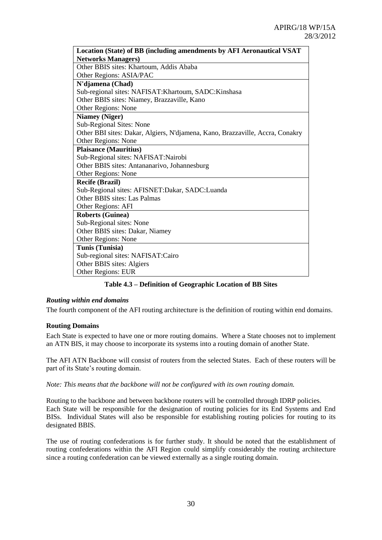| Location (State) of BB (including amendments by AFI Aeronautical VSAT         |
|-------------------------------------------------------------------------------|
| <b>Networks Managers)</b>                                                     |
| Other BBIS sites: Khartoum, Addis Ababa                                       |
| Other Regions: ASIA/PAC                                                       |
| N'djamena (Chad)                                                              |
| Sub-regional sites: NAFISAT: Khartoum, SADC: Kinshasa                         |
| Other BBIS sites: Niamey, Brazzaville, Kano                                   |
| Other Regions: None                                                           |
| <b>Niamey (Niger)</b>                                                         |
| Sub-Regional Sites: None                                                      |
| Other BBI sites: Dakar, Algiers, N'djamena, Kano, Brazzaville, Accra, Conakry |
| Other Regions: None                                                           |
| <b>Plaisance (Mauritius)</b>                                                  |
| Sub-Regional sites: NAFISAT:Nairobi                                           |
| Other BBIS sites: Antananarivo, Johannesburg                                  |
| Other Regions: None                                                           |
| <b>Recife (Brazil)</b>                                                        |
| Sub-Regional sites: AFISNET: Dakar, SADC: Luanda                              |
| Other BBIS sites: Las Palmas                                                  |
| Other Regions: AFI                                                            |
| <b>Roberts (Guinea)</b>                                                       |
| Sub-Regional sites: None                                                      |
| Other BBIS sites: Dakar, Niamey                                               |
| Other Regions: None                                                           |
| Tunis (Tunisia)                                                               |
| Sub-regional sites: NAFISAT:Cairo                                             |
| Other BBIS sites: Algiers                                                     |
| <b>Other Regions: EUR</b>                                                     |

**Table 4.3 – Definition of Geographic Location of BB Sites**

#### *Routing within end domains*

The fourth component of the AFI routing architecture is the definition of routing within end domains.

#### **Routing Domains**

Each State is expected to have one or more routing domains. Where a State chooses not to implement an ATN BIS, it may choose to incorporate its systems into a routing domain of another State.

The AFI ATN Backbone will consist of routers from the selected States. Each of these routers will be part of its State's routing domain.

*Note: This means that the backbone will not be configured with its own routing domain.* 

Routing to the backbone and between backbone routers will be controlled through IDRP policies. Each State will be responsible for the designation of routing policies for its End Systems and End BISs. Individual States will also be responsible for establishing routing policies for routing to its designated BBIS.

The use of routing confederations is for further study. It should be noted that the establishment of routing confederations within the AFI Region could simplify considerably the routing architecture since a routing confederation can be viewed externally as a single routing domain.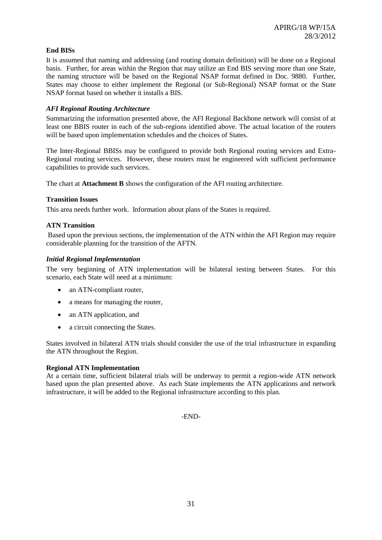## **End BISs**

It is assumed that naming and addressing (and routing domain definition) will be done on a Regional basis. Further, for areas within the Region that may utilize an End BIS serving more than one State, the naming structure will be based on the Regional NSAP format defined in Doc. 9880. Further, States may choose to either implement the Regional (or Sub-Regional) NSAP format or the State NSAP format based on whether it installs a BIS.

## *AFI Regional Routing Architecture*

Summarizing the information presented above, the AFI Regional Backbone network will consist of at least one BBIS router in each of the sub-regions identified above. The actual location of the routers will be based upon implementation schedules and the choices of States.

The Inter-Regional BBISs may be configured to provide both Regional routing services and Extra-Regional routing services. However, these routers must be engineered with sufficient performance capabilities to provide such services.

The chart at **Attachment B** shows the configuration of the AFI routing architecture.

## **Transition Issues**

This area needs further work. Information about plans of the States is required.

## **ATN Transition**

Based upon the previous sections, the implementation of the ATN within the AFI Region may require considerable planning for the transition of the AFTN.

#### *Initial Regional Implementation*

The very beginning of ATN implementation will be bilateral testing between States. For this scenario, each State will need at a minimum:

- an ATN-compliant router,
- a means for managing the router,
- an ATN application, and
- a circuit connecting the States.

States involved in bilateral ATN trials should consider the use of the trial infrastructure in expanding the ATN throughout the Region.

## **Regional ATN Implementation**

At a certain time, sufficient bilateral trials will be underway to permit a region-wide ATN network based upon the plan presented above. As each State implements the ATN applications and network infrastructure, it will be added to the Regional infrastructure according to this plan.

-END-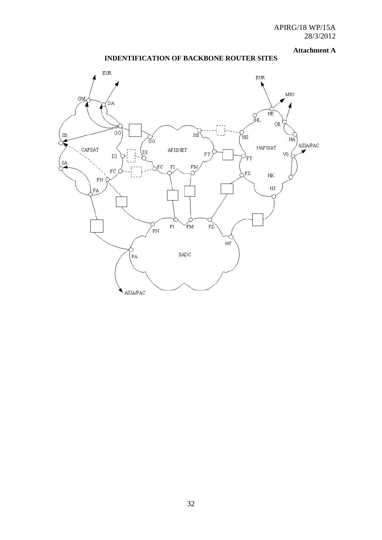#### **Attachment A**

## **INDENTIFICATION OF BACKBONE ROUTER SITES**

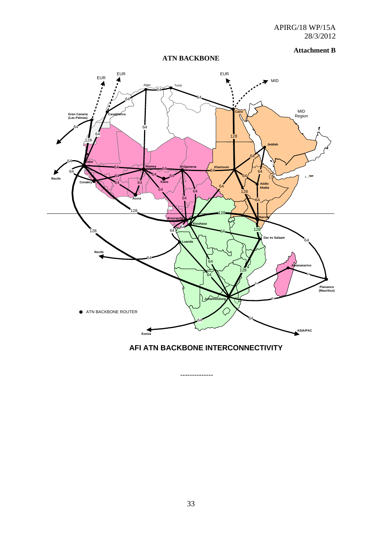#### **Attachment B**

## **ATN BACKBONE**



**AFI ATN BACKBONE INTERCONNECTIVITY**

--------------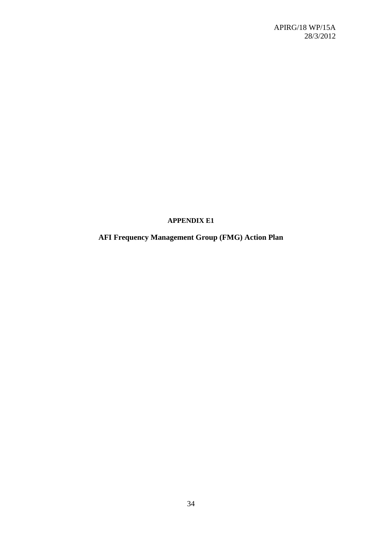## **APPENDIX E1**

## **AFI Frequency Management Group (FMG) Action Plan**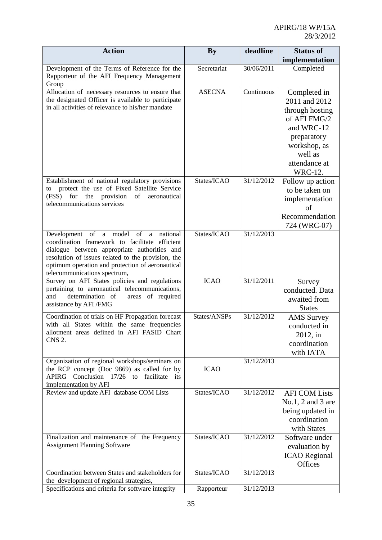| <b>Action</b>                                                                                                                                                                                                                                                                                                                                            | <b>By</b>                    | deadline                 | <b>Status of</b>                                                                                                                                                                                                                            |
|----------------------------------------------------------------------------------------------------------------------------------------------------------------------------------------------------------------------------------------------------------------------------------------------------------------------------------------------------------|------------------------------|--------------------------|---------------------------------------------------------------------------------------------------------------------------------------------------------------------------------------------------------------------------------------------|
|                                                                                                                                                                                                                                                                                                                                                          |                              |                          | implementation                                                                                                                                                                                                                              |
| Development of the Terms of Reference for the<br>Rapporteur of the AFI Frequency Management<br>Group                                                                                                                                                                                                                                                     | Secretariat                  | 30/06/2011               | Completed                                                                                                                                                                                                                                   |
| Allocation of necessary resources to ensure that<br>the designated Officer is available to participate<br>in all activities of relevance to his/her mandate<br>Establishment of national regulatory provisions<br>protect the use of Fixed Satellite Service<br>to<br>(FSS)<br>for<br>the provision<br>of<br>aeronautical<br>telecommunications services | <b>ASECNA</b><br>States/ICAO | Continuous<br>31/12/2012 | Completed in<br>2011 and 2012<br>through hosting<br>of AFI FMG/2<br>and WRC-12<br>preparatory<br>workshop, as<br>well as<br>attendance at<br><b>WRC-12.</b><br>Follow up action<br>to be taken on<br>implementation<br>of<br>Recommendation |
| Development of a model of<br>national<br>a<br>coordination framework to facilitate efficient                                                                                                                                                                                                                                                             | States/ICAO                  | 31/12/2013               | 724 (WRC-07)                                                                                                                                                                                                                                |
| dialogue between appropriate authorities and<br>resolution of issues related to the provision, the<br>optimum operation and protection of aeronautical<br>telecommunications spectrum,                                                                                                                                                                   |                              |                          |                                                                                                                                                                                                                                             |
| Survey on AFI States policies and regulations<br>pertaining to aeronautical telecommunications,<br>determination of<br>areas of required<br>and<br>assistance by AFI/FMG                                                                                                                                                                                 | <b>ICAO</b>                  | 31/12/2011               | Survey<br>conducted. Data<br>awaited from<br><b>States</b>                                                                                                                                                                                  |
| Coordination of trials on HF Propagation forecast<br>with all States within the same frequencies<br>allotment areas defined in AFI FASID Chart<br><b>CNS 2.</b>                                                                                                                                                                                          | States/ANSPs                 | 31/12/2012               | <b>AMS</b> Survey<br>conducted in<br>2012, in<br>coordination<br>with IATA                                                                                                                                                                  |
| Organization of regional workshops/seminars on<br>the RCP concept (Doc 9869) as called for by<br>Conclusion 17/26 to facilitate<br>APIRG<br>its<br>implementation by AFI                                                                                                                                                                                 | <b>ICAO</b>                  | 31/12/2013               |                                                                                                                                                                                                                                             |
| Review and update AFI database COM Lists                                                                                                                                                                                                                                                                                                                 | States/ICAO                  | 31/12/2012               | <b>AFI COM Lists</b><br>No.1, 2, and 3 are<br>being updated in<br>coordination<br>with States                                                                                                                                               |
| Finalization and maintenance of the Frequency<br><b>Assignment Planning Software</b>                                                                                                                                                                                                                                                                     | States/ICAO                  | 31/12/2012               | Software under<br>evaluation by<br><b>ICAO</b> Regional<br>Offices                                                                                                                                                                          |
| Coordination between States and stakeholders for                                                                                                                                                                                                                                                                                                         | States/ICAO                  | 31/12/2013               |                                                                                                                                                                                                                                             |
| the development of regional strategies,<br>Specifications and criteria for software integrity                                                                                                                                                                                                                                                            | Rapporteur                   | 31/12/2013               |                                                                                                                                                                                                                                             |
|                                                                                                                                                                                                                                                                                                                                                          |                              |                          |                                                                                                                                                                                                                                             |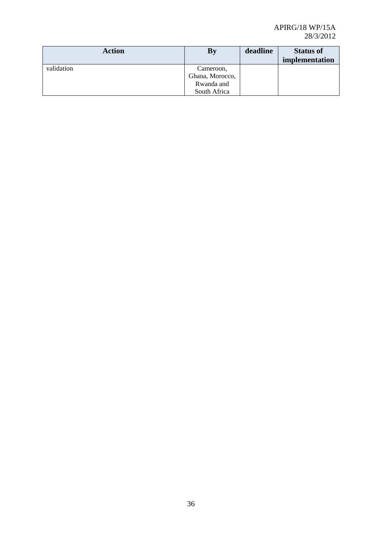| <b>Action</b> | <b>By</b>       | deadline | <b>Status of</b><br>implementation |
|---------------|-----------------|----------|------------------------------------|
| validation    | Cameroon,       |          |                                    |
|               | Ghana, Morocco, |          |                                    |
|               | Rwanda and      |          |                                    |
|               | South Africa    |          |                                    |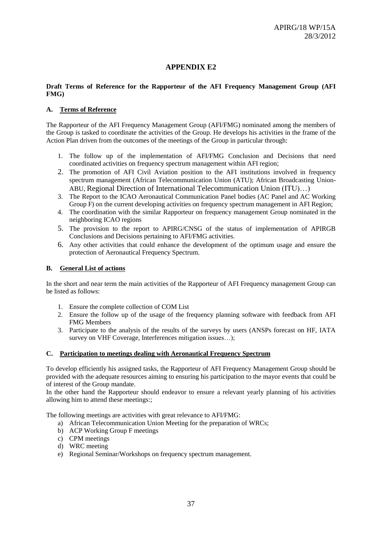## **APPENDIX E2**

#### **Draft Terms of Reference for the Rapporteur of the AFI Frequency Management Group (AFI FMG)**

#### **A. Terms of Reference**

The Rapporteur of the AFI Frequency Management Group (AFI/FMG) nominated among the members of the Group is tasked to coordinate the activities of the Group. He develops his activities in the frame of the Action Plan driven from the outcomes of the meetings of the Group in particular through:

- 1. The follow up of the implementation of AFI/FMG Conclusion and Decisions that need coordinated activities on frequency spectrum management within AFI region;
- 2. The promotion of AFI Civil Aviation position to the AFI institutions involved in frequency spectrum management (African Telecommunication Union (ATU); African Broadcasting Union-ABU, Regional Direction of International Telecommunication Union (ITU)…)
- 3. The Report to the ICAO Aeronautical Communication Panel bodies (AC Panel and AC Working Group F) on the current developing activities on frequency spectrum management in AFI Region;
- 4. The coordination with the similar Rapporteur on frequency management Group nominated in the neighboring ICAO regions
- 5. The provision to the report to APIRG/CNSG of the status of implementation of APIRGB Conclusions and Decisions pertaining to AFI/FMG activities.
- 6. Any other activities that could enhance the development of the optimum usage and ensure the protection of Aeronautical Frequency Spectrum.

#### **B. General List of actions**

In the short and near term the main activities of the Rapporteur of AFI Frequency management Group can be listed as follows:

- 1. Ensure the complete collection of COM List
- 2. Ensure the follow up of the usage of the frequency planning software with feedback from AFI FMG Members
- 3. Participate to the analysis of the results of the surveys by users (ANSPs forecast on HF, IATA survey on VHF Coverage, Interferences mitigation issues...);

## **C. Participation to meetings dealing with Aeronautical Frequency Spectrum**

To develop efficiently his assigned tasks, the Rapporteur of AFI Frequency Management Group should be provided with the adequate resources aiming to ensuring his participation to the mayor events that could be of interest of the Group mandate.

In the other hand the Rapporteur should endeavor to ensure a relevant yearly planning of his activities allowing him to attend these meetings:;

The following meetings are activities with great relevance to AFI/FMG:

- a) African Telecommunication Union Meeting for the preparation of WRCs;
- b) ACP Working Group F meetings
- c) CPM meetings
- d) WRC meeting
- e) Regional Seminar/Workshops on frequency spectrum management.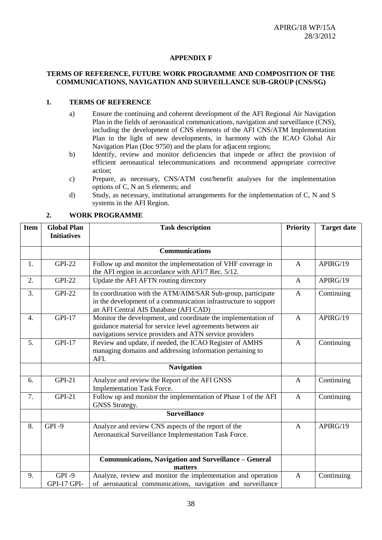#### **APPENDIX F**

#### **TERMS OF REFERENCE, FUTURE WORK PROGRAMME AND COMPOSITION OF THE COMMUNICATIONS, NAVIGATION AND SURVEILLANCE SUB-GROUP (CNS/SG)**

#### **1. TERMS OF REFERENCE**

- a) Ensure the continuing and coherent development of the AFI Regional Air Navigation Plan in the fields of aeronautical communications, navigation and surveillance (CNS), including the development of CNS elements of the AFI CNS/ATM Implementation Plan in the light of new developments, in harmony with the ICAO Global Air Navigation Plan (Doc 9750) and the plans for adjacent regions;
- b) Identify, review and monitor deficiencies that impede or affect the provision of efficient aeronautical telecommunications and recommend appropriate corrective action;
- c) Prepare, as necessary, CNS/ATM cost/benefit analyses for the implementation options of C, N an S elements; and
- d) Study, as necessary, institutional arrangements for the implementation of C, N and S systems in the AFI Region.

| <b>Item</b> | <b>Global Plan</b><br><b>Initiatives</b> | <b>Task description</b>                                                                                                                                                                |              | <b>Target date</b> |
|-------------|------------------------------------------|----------------------------------------------------------------------------------------------------------------------------------------------------------------------------------------|--------------|--------------------|
|             |                                          |                                                                                                                                                                                        |              |                    |
|             |                                          | <b>Communications</b>                                                                                                                                                                  |              |                    |
| 1.          | <b>GPI-22</b>                            | Follow up and monitor the implementation of VHF coverage in<br>the AFI region in accordance with AFI/7 Rec. 5/12.                                                                      | $\mathbf{A}$ | APIRG/19           |
| 2.          | <b>GPI-22</b>                            | Update the AFI AFTN routing directory                                                                                                                                                  | $\mathsf{A}$ | APIRG/19           |
| 3.          | <b>GPI-22</b>                            | In coordination with the ATM/AIM/SAR Sub-group, participate<br>in the development of a communication infrastructure to support<br>an AFI Central AIS Database (AFI CAD)                | A            | Continuing         |
| 4.          | <b>GPI-17</b>                            | Monitor the development, and coordinate the implementation of<br>guidance material for service level agreements between air<br>navigations service providers and ATN service providers | A            | APIRG/19           |
| 5.          | <b>GPI-17</b>                            | Review and update, if needed, the ICAO Register of AMHS<br>managing domains and addressing information pertaining to<br>AFI.                                                           | A            | Continuing         |
|             |                                          | <b>Navigation</b>                                                                                                                                                                      |              |                    |
| 6.          | <b>GPI-21</b>                            | Analyze and review the Report of the AFI GNSS<br><b>Implementation Task Force.</b>                                                                                                     | A            | Continuing         |
| 7.          | <b>GPI-21</b>                            | Follow up and monitor the implementation of Phase 1 of the AFI<br><b>GNSS Strategy.</b>                                                                                                | $\mathbf{A}$ | Continuing         |
|             |                                          | Surveillance                                                                                                                                                                           |              |                    |
| 8.          | GPI-9                                    | Analyze and review CNS aspects of the report of the<br>Aeronautical Surveillance Implementation Task Force.                                                                            | $\mathbf{A}$ | APIRG/19           |
|             |                                          | <b>Communications, Navigation and Surveillance - General</b><br>matters                                                                                                                |              |                    |
| 9.          | $GPI -9$<br><b>GPI-17 GPI-</b>           | Analyze, review and monitor the implementation and operation<br>of aeronautical communications, navigation and surveillance                                                            | $\mathbf{A}$ | Continuing         |

#### **2. WORK PROGRAMME**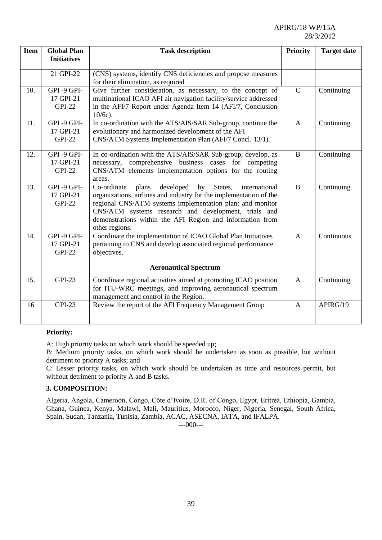APIRG/18 WP/15A 28/3/2012

| <b>Item</b> | <b>Global Plan</b><br><b>Initiatives</b> | <b>Task description</b>                                                                                                                                                                                                                                                                                                                       | <b>Priority</b> | <b>Target date</b> |
|-------------|------------------------------------------|-----------------------------------------------------------------------------------------------------------------------------------------------------------------------------------------------------------------------------------------------------------------------------------------------------------------------------------------------|-----------------|--------------------|
|             | 21 GPI-22                                | (CNS) systems, identify CNS deficiencies and propose measures<br>for their elimination, as required                                                                                                                                                                                                                                           |                 |                    |
| 10.         | GPI-9 GPI-<br>17 GPI-21<br><b>GPI-22</b> | Give further consideration, as necessary, to the concept of<br>multinational ICAO AFI air navigation facility/service addressed<br>in the AFI/7 Report under Agenda Item 14 (AFI/7, Conclusion<br>$10/6c$ ).                                                                                                                                  | $\mathcal{C}$   | Continuing         |
| 11.         | GPI-9 GPI-<br>17 GPI-21<br><b>GPI-22</b> | In co-ordination with the ATS/AIS/SAR Sub-group, continue the<br>evolutionary and harmonized development of the AFI<br>CNS/ATM Systems Implementation Plan (AFI/7 Concl. 13/1).                                                                                                                                                               | $\mathbf{A}$    | Continuing         |
| 12.         | GPI-9 GPI-<br>17 GPI-21<br><b>GPI-22</b> | In co-ordination with the ATS/AIS/SAR Sub-group, develop, as<br>necessary, comprehensive business cases for competing<br>CNS/ATM elements implementation options for the routing<br>areas.                                                                                                                                                    | B               | Continuing         |
| 13.         | GPI-9 GPI-<br>17 GPI-21<br><b>GPI-22</b> | developed<br>States,<br>Co-ordinate<br>by<br>international<br>plans<br>organizations, airlines and industry for the implementation of the<br>regional CNS/ATM systems implementation plan; and monitor<br>CNS/ATM systems research and development, trials and<br>demonstrations within the AFI Region and information from<br>other regions. | B               | Continuing         |
| 14.         | GPI-9 GPI-<br>17 GPI-21<br><b>GPI-22</b> | Coordinate the implementation of ICAO Global Plan Initiatives<br>pertaining to CNS and develop associated regional performance<br>objectives.                                                                                                                                                                                                 | $\overline{A}$  | Continuous         |
|             |                                          | <b>Aeronautical Spectrum</b>                                                                                                                                                                                                                                                                                                                  |                 |                    |
| 15.         | <b>GPI-23</b>                            | Coordinate regional activities aimed at promoting ICAO position<br>for ITU-WRC meetings, and improving aeronautical spectrum<br>management and control in the Region.                                                                                                                                                                         | $\mathbf{A}$    | Continuing         |
| 16          | <b>GPI-23</b>                            | Review the report of the AFI Frequency Management Group                                                                                                                                                                                                                                                                                       | $\mathbf{A}$    | APIRG/19           |

#### **Priority:**

A: High priority tasks on which work should be speeded up;

B: Medium priority tasks, on which work should be undertaken as soon as possible, but without detriment to priority A tasks; and

C: Lesser priority tasks, on which work should be undertaken as time and resources permit, but without detriment to priority A and B tasks.

#### **3. COMPOSITION:**

Algeria, Angola, Cameroon, Congo, Côte d'Ivoire, D.R. of Congo, Egypt, Eritrea, Ethiopia, Gambia, Ghana, Guinea, Kenya, Malawi, Mali, Mauritius, Morocco, Niger, Nigeria, Senegal, South Africa, Spain, Sudan, Tanzania, Tunisia, Zambia, ACAC, ASECNA, IATA, and IFALPA.

---000---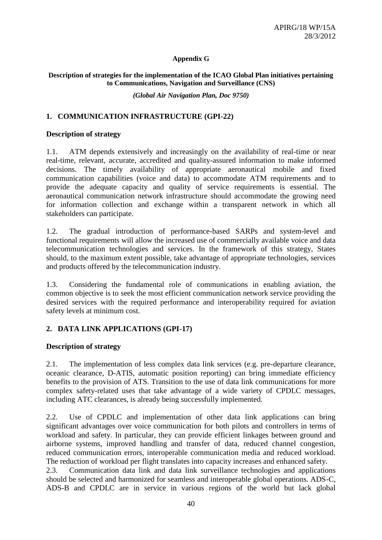## **Appendix G**

## **Description of strategies for the implementation of the ICAO Global Plan initiatives pertaining to Communications, Navigation and Surveillance (CNS)**

*(Global Air Navigation Plan, Doc 9750)*

## **1. COMMUNICATION INFRASTRUCTURE (GPI-22)**

## **Description of strategy**

1.1. ATM depends extensively and increasingly on the availability of real-time or near real-time, relevant, accurate, accredited and quality-assured information to make informed decisions. The timely availability of appropriate aeronautical mobile and fixed communication capabilities (voice and data) to accommodate ATM requirements and to provide the adequate capacity and quality of service requirements is essential. The aeronautical communication network infrastructure should accommodate the growing need for information collection and exchange within a transparent network in which all stakeholders can participate.

1.2. The gradual introduction of performance-based SARPs and system-level and functional requirements will allow the increased use of commercially available voice and data telecommunication technologies and services. In the framework of this strategy, States should, to the maximum extent possible, take advantage of appropriate technologies, services and products offered by the telecommunication industry.

1.3. Considering the fundamental role of communications in enabling aviation, the common objective is to seek the most efficient communication network service providing the desired services with the required performance and interoperability required for aviation safety levels at minimum cost.

## **2. DATA LINK APPLICATIONS (GPI-17)**

## **Description of strategy**

2.1. The implementation of less complex data link services (e.g. pre-departure clearance, oceanic clearance, D-ATIS, automatic position reporting) can bring immediate efficiency benefits to the provision of ATS. Transition to the use of data link communications for more complex safety-related uses that take advantage of a wide variety of CPDLC messages, including ATC clearances, is already being successfully implemented.

2.2. Use of CPDLC and implementation of other data link applications can bring significant advantages over voice communication for both pilots and controllers in terms of workload and safety. In particular, they can provide efficient linkages between ground and airborne systems, improved handling and transfer of data, reduced channel congestion, reduced communication errors, interoperable communication media and reduced workload. The reduction of workload per flight translates into capacity increases and enhanced safety.

2.3. Communication data link and data link surveillance technologies and applications should be selected and harmonized for seamless and interoperable global operations. ADS-C, ADS-B and CPDLC are in service in various regions of the world but lack global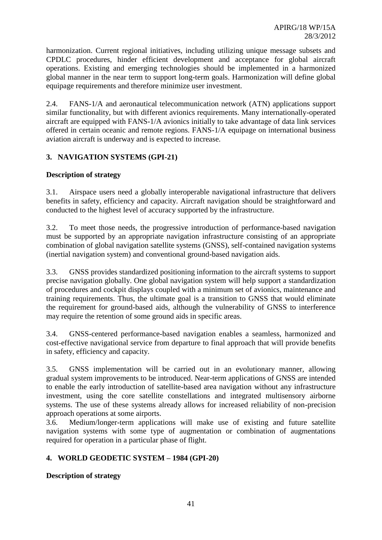harmonization. Current regional initiatives, including utilizing unique message subsets and CPDLC procedures, hinder efficient development and acceptance for global aircraft operations. Existing and emerging technologies should be implemented in a harmonized global manner in the near term to support long-term goals. Harmonization will define global equipage requirements and therefore minimize user investment.

2.4. FANS-1/A and aeronautical telecommunication network (ATN) applications support similar functionality, but with different avionics requirements. Many internationally-operated aircraft are equipped with FANS-1/A avionics initially to take advantage of data link services offered in certain oceanic and remote regions. FANS-1/A equipage on international business aviation aircraft is underway and is expected to increase.

## **3. NAVIGATION SYSTEMS (GPI-21)**

## **Description of strategy**

3.1. Airspace users need a globally interoperable navigational infrastructure that delivers benefits in safety, efficiency and capacity. Aircraft navigation should be straightforward and conducted to the highest level of accuracy supported by the infrastructure.

3.2. To meet those needs, the progressive introduction of performance-based navigation must be supported by an appropriate navigation infrastructure consisting of an appropriate combination of global navigation satellite systems (GNSS), self-contained navigation systems (inertial navigation system) and conventional ground-based navigation aids.

3.3. GNSS provides standardized positioning information to the aircraft systems to support precise navigation globally. One global navigation system will help support a standardization of procedures and cockpit displays coupled with a minimum set of avionics, maintenance and training requirements. Thus, the ultimate goal is a transition to GNSS that would eliminate the requirement for ground-based aids, although the vulnerability of GNSS to interference may require the retention of some ground aids in specific areas.

3.4. GNSS-centered performance-based navigation enables a seamless, harmonized and cost-effective navigational service from departure to final approach that will provide benefits in safety, efficiency and capacity.

3.5. GNSS implementation will be carried out in an evolutionary manner, allowing gradual system improvements to be introduced. Near-term applications of GNSS are intended to enable the early introduction of satellite-based area navigation without any infrastructure investment, using the core satellite constellations and integrated multisensory airborne systems. The use of these systems already allows for increased reliability of non-precision approach operations at some airports.

3.6. Medium/longer-term applications will make use of existing and future satellite navigation systems with some type of augmentation or combination of augmentations required for operation in a particular phase of flight.

## **4. WORLD GEODETIC SYSTEM – 1984 (GPI-20)**

**Description of strategy**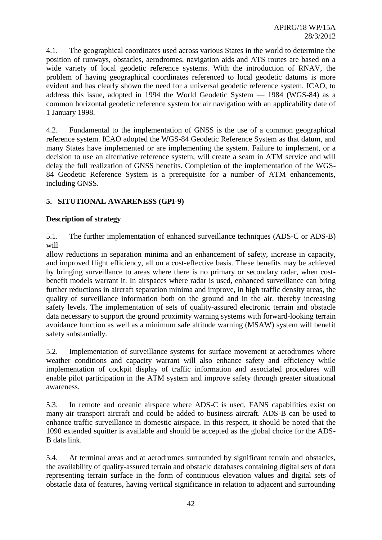4.1. The geographical coordinates used across various States in the world to determine the position of runways, obstacles, aerodromes, navigation aids and ATS routes are based on a wide variety of local geodetic reference systems. With the introduction of RNAV, the problem of having geographical coordinates referenced to local geodetic datums is more evident and has clearly shown the need for a universal geodetic reference system. ICAO, to address this issue, adopted in 1994 the World Geodetic System — 1984 (WGS-84) as a common horizontal geodetic reference system for air navigation with an applicability date of 1 January 1998.

4.2. Fundamental to the implementation of GNSS is the use of a common geographical reference system. ICAO adopted the WGS-84 Geodetic Reference System as that datum, and many States have implemented or are implementing the system. Failure to implement, or a decision to use an alternative reference system, will create a seam in ATM service and will delay the full realization of GNSS benefits. Completion of the implementation of the WGS-84 Geodetic Reference System is a prerequisite for a number of ATM enhancements, including GNSS.

## **5. SITUTIONAL AWARENESS (GPI-9)**

## **Description of strategy**

5.1. The further implementation of enhanced surveillance techniques (ADS-C or ADS-B) will

allow reductions in separation minima and an enhancement of safety, increase in capacity, and improved flight efficiency, all on a cost-effective basis. These benefits may be achieved by bringing surveillance to areas where there is no primary or secondary radar, when costbenefit models warrant it. In airspaces where radar is used, enhanced surveillance can bring further reductions in aircraft separation minima and improve, in high traffic density areas, the quality of surveillance information both on the ground and in the air, thereby increasing safety levels. The implementation of sets of quality-assured electronic terrain and obstacle data necessary to support the ground proximity warning systems with forward-looking terrain avoidance function as well as a minimum safe altitude warning (MSAW) system will benefit safety substantially.

5.2. Implementation of surveillance systems for surface movement at aerodromes where weather conditions and capacity warrant will also enhance safety and efficiency while implementation of cockpit display of traffic information and associated procedures will enable pilot participation in the ATM system and improve safety through greater situational awareness.

5.3. In remote and oceanic airspace where ADS-C is used, FANS capabilities exist on many air transport aircraft and could be added to business aircraft. ADS-B can be used to enhance traffic surveillance in domestic airspace. In this respect, it should be noted that the 1090 extended squitter is available and should be accepted as the global choice for the ADS-B data link.

5.4. At terminal areas and at aerodromes surrounded by significant terrain and obstacles, the availability of quality-assured terrain and obstacle databases containing digital sets of data representing terrain surface in the form of continuous elevation values and digital sets of obstacle data of features, having vertical significance in relation to adjacent and surrounding